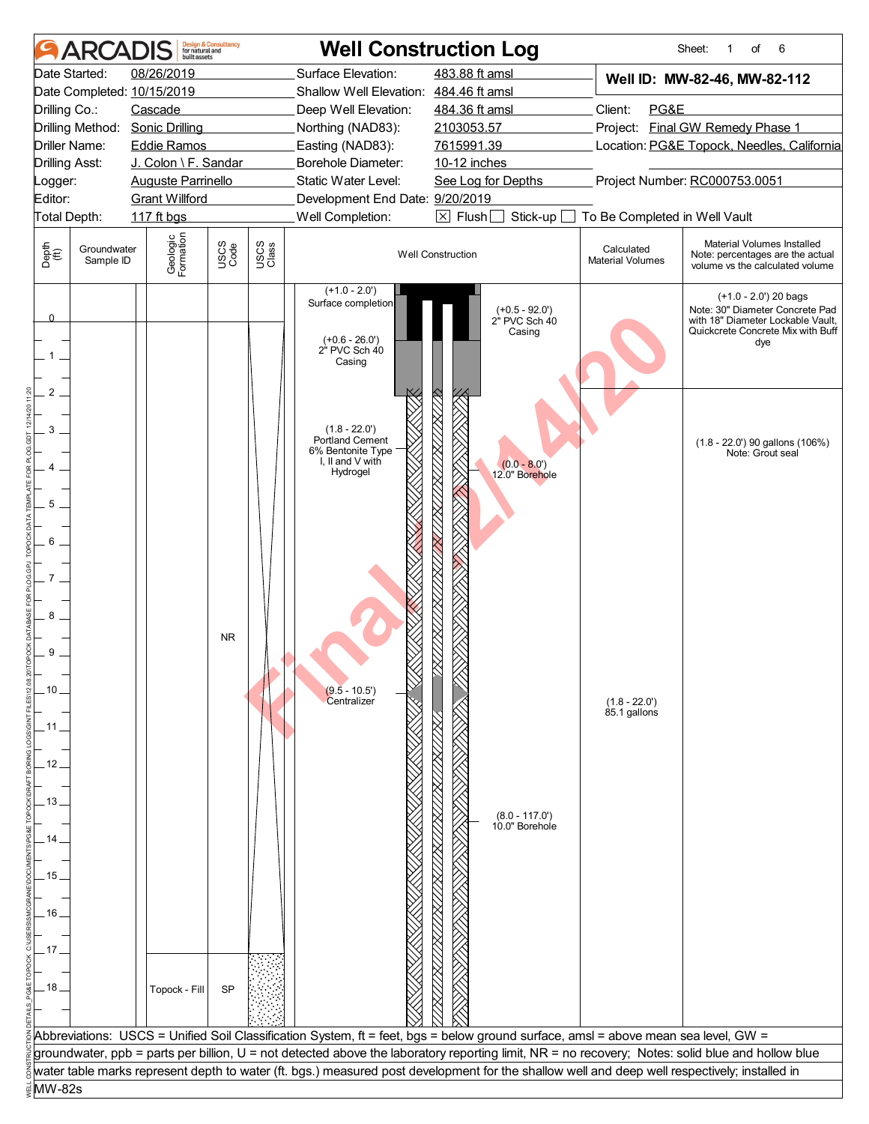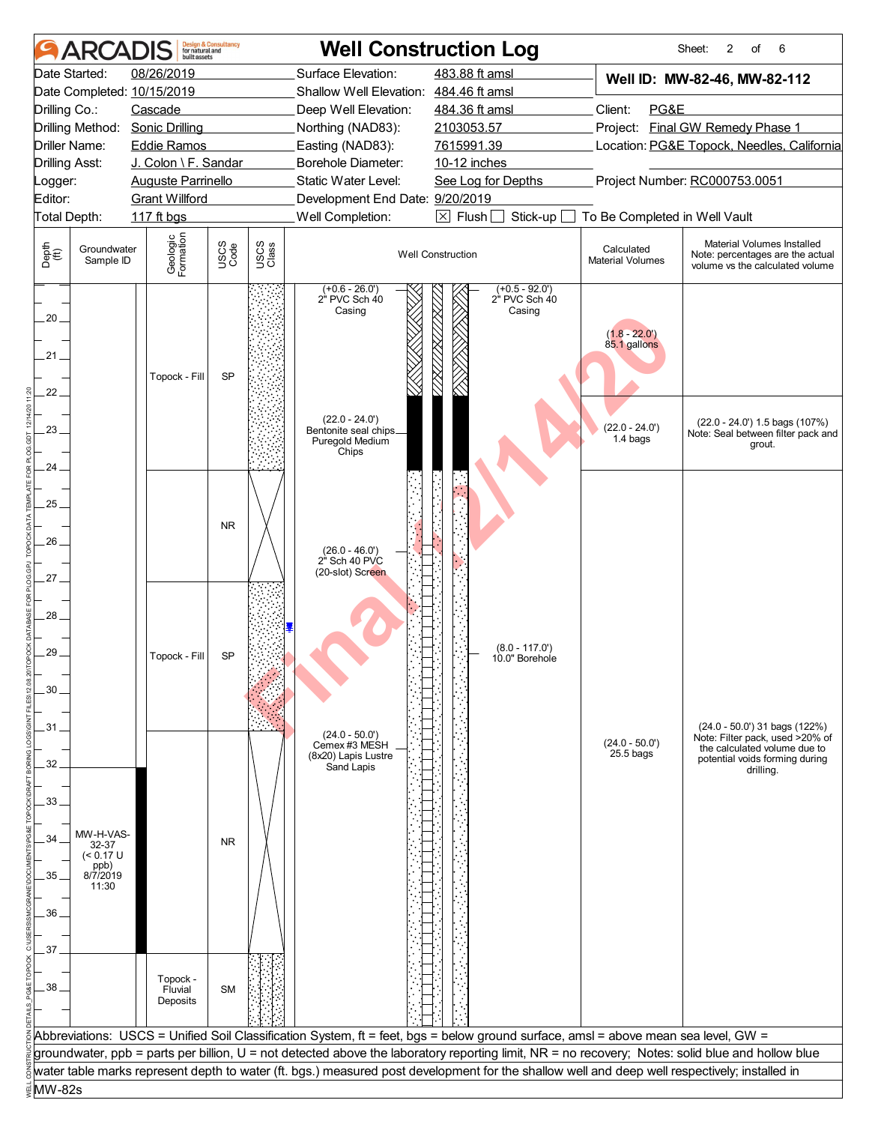| 08/26/2019<br>Surface Elevation:<br>483.88 ft amsl<br>Well ID: MW-82-46, MW-82-112<br>Date Completed: 10/15/2019<br>Shallow Well Elevation: 484.46 ft amsl<br>Client:<br>PG&E<br>Cascade<br>Deep Well Elevation:<br>484.36 ft amsl<br>Project: Final GW Remedy Phase 1<br><b>Sonic Drilling</b><br>Northing (NAD83):<br>2103053.57<br>7615991.39<br>Location: PG&E Topock, Needles, California<br><b>Eddie Ramos</b><br>Easting (NAD83):<br>J. Colon \ F. Sandar<br>Borehole Diameter:<br>10-12 inches<br>Project Number: RC000753.0051<br><b>Auguste Parrinello</b><br>Static Water Level:<br>See Log for Depths<br><b>Grant Willford</b><br>Development End Date: 9/20/2019<br>Well Completion:<br>$\boxtimes$ Flush<br>117 ft bgs<br>Stick-up<br>To Be Completed in Well Vault<br>Geologic<br>Formation<br>Material Volumes Installed<br>USCS<br>Code<br>USCS<br>Class<br>Groundwater<br>Calculated<br><b>Well Construction</b><br>Note: percentages are the actual<br><b>Material Volumes</b><br>Sample ID<br>volume vs the calculated volume<br>$(+0.5 - 92.0')$<br>$(+0.6 - 26.0')$<br>2" PVC Sch 40<br>2" PVC Sch 40<br>Casing<br>Casing<br>$(1.8 - 22.0')$<br>85.1 gallons<br><b>SP</b><br>Topock - Fill<br>$(22.0 - 24.0')$<br>$(22.0 - 24.0')$ 1.5 bags $(107%)$<br>$(22.0 - 24.0')$<br>Bentonite seal chips_<br>Note: Seal between filter pack and<br>1.4 bags<br>Puregold Medium<br>grout.<br>Chips<br><b>NR</b><br>26<br>$(26.0 - 46.0')$<br>2" Sch 40 PVC<br>(20-slot) Screen<br>$(8.0 - 117.0')$<br>Topock - Fill<br>SP<br>10.0" Borehole<br>30<br>$(24.0 - 50.0')$ 31 bags $(122%)$<br>$(24.0 - 50.0)$<br>Note: Filter pack, used >20% of<br>$(24.0 - 50.0')$<br>Cemex #3 MESH<br>the calculated volume due to<br>$25.5$ bags<br>(8x20) Lapis Lustre<br>potential voids forming during<br>32<br>Sand Lapis<br>drilling.<br>33.<br>MW-H-VAS-<br><b>NR</b><br>32-37<br>$(< 0.17$ U<br>ppb)<br>8/7/2019<br>11:30 | <b>ARCAI</b>                        | huilt assets | <b>Design &amp; Consultancy</b><br>for natural and | <b>Well Construction Log</b> |  | 2<br>6<br>Sheet:<br>of |
|-------------------------------------------------------------------------------------------------------------------------------------------------------------------------------------------------------------------------------------------------------------------------------------------------------------------------------------------------------------------------------------------------------------------------------------------------------------------------------------------------------------------------------------------------------------------------------------------------------------------------------------------------------------------------------------------------------------------------------------------------------------------------------------------------------------------------------------------------------------------------------------------------------------------------------------------------------------------------------------------------------------------------------------------------------------------------------------------------------------------------------------------------------------------------------------------------------------------------------------------------------------------------------------------------------------------------------------------------------------------------------------------------------------------------------------------------------------------------------------------------------------------------------------------------------------------------------------------------------------------------------------------------------------------------------------------------------------------------------------------------------------------------------------------------------------------------------------------------------------------------------------------------------------------------------|-------------------------------------|--------------|----------------------------------------------------|------------------------------|--|------------------------|
|                                                                                                                                                                                                                                                                                                                                                                                                                                                                                                                                                                                                                                                                                                                                                                                                                                                                                                                                                                                                                                                                                                                                                                                                                                                                                                                                                                                                                                                                                                                                                                                                                                                                                                                                                                                                                                                                                                                               | Date Started:                       |              |                                                    |                              |  |                        |
|                                                                                                                                                                                                                                                                                                                                                                                                                                                                                                                                                                                                                                                                                                                                                                                                                                                                                                                                                                                                                                                                                                                                                                                                                                                                                                                                                                                                                                                                                                                                                                                                                                                                                                                                                                                                                                                                                                                               |                                     |              |                                                    |                              |  |                        |
|                                                                                                                                                                                                                                                                                                                                                                                                                                                                                                                                                                                                                                                                                                                                                                                                                                                                                                                                                                                                                                                                                                                                                                                                                                                                                                                                                                                                                                                                                                                                                                                                                                                                                                                                                                                                                                                                                                                               | Drilling Co.:                       |              |                                                    |                              |  |                        |
|                                                                                                                                                                                                                                                                                                                                                                                                                                                                                                                                                                                                                                                                                                                                                                                                                                                                                                                                                                                                                                                                                                                                                                                                                                                                                                                                                                                                                                                                                                                                                                                                                                                                                                                                                                                                                                                                                                                               | Drilling Method:                    |              |                                                    |                              |  |                        |
|                                                                                                                                                                                                                                                                                                                                                                                                                                                                                                                                                                                                                                                                                                                                                                                                                                                                                                                                                                                                                                                                                                                                                                                                                                                                                                                                                                                                                                                                                                                                                                                                                                                                                                                                                                                                                                                                                                                               | Driller Name:                       |              |                                                    |                              |  |                        |
|                                                                                                                                                                                                                                                                                                                                                                                                                                                                                                                                                                                                                                                                                                                                                                                                                                                                                                                                                                                                                                                                                                                                                                                                                                                                                                                                                                                                                                                                                                                                                                                                                                                                                                                                                                                                                                                                                                                               | <b>Drilling Asst:</b>               |              |                                                    |                              |  |                        |
|                                                                                                                                                                                                                                                                                                                                                                                                                                                                                                                                                                                                                                                                                                                                                                                                                                                                                                                                                                                                                                                                                                                                                                                                                                                                                                                                                                                                                                                                                                                                                                                                                                                                                                                                                                                                                                                                                                                               | Logger:                             |              |                                                    |                              |  |                        |
|                                                                                                                                                                                                                                                                                                                                                                                                                                                                                                                                                                                                                                                                                                                                                                                                                                                                                                                                                                                                                                                                                                                                                                                                                                                                                                                                                                                                                                                                                                                                                                                                                                                                                                                                                                                                                                                                                                                               | Editor:                             |              |                                                    |                              |  |                        |
|                                                                                                                                                                                                                                                                                                                                                                                                                                                                                                                                                                                                                                                                                                                                                                                                                                                                                                                                                                                                                                                                                                                                                                                                                                                                                                                                                                                                                                                                                                                                                                                                                                                                                                                                                                                                                                                                                                                               | Total Depth:                        |              |                                                    |                              |  |                        |
|                                                                                                                                                                                                                                                                                                                                                                                                                                                                                                                                                                                                                                                                                                                                                                                                                                                                                                                                                                                                                                                                                                                                                                                                                                                                                                                                                                                                                                                                                                                                                                                                                                                                                                                                                                                                                                                                                                                               | Depth<br>(ff)                       |              |                                                    |                              |  |                        |
|                                                                                                                                                                                                                                                                                                                                                                                                                                                                                                                                                                                                                                                                                                                                                                                                                                                                                                                                                                                                                                                                                                                                                                                                                                                                                                                                                                                                                                                                                                                                                                                                                                                                                                                                                                                                                                                                                                                               | 20 <sub>1</sub><br>21.<br>22.<br>23 |              |                                                    |                              |  |                        |
|                                                                                                                                                                                                                                                                                                                                                                                                                                                                                                                                                                                                                                                                                                                                                                                                                                                                                                                                                                                                                                                                                                                                                                                                                                                                                                                                                                                                                                                                                                                                                                                                                                                                                                                                                                                                                                                                                                                               | 24<br>$25 -$                        |              |                                                    |                              |  |                        |
|                                                                                                                                                                                                                                                                                                                                                                                                                                                                                                                                                                                                                                                                                                                                                                                                                                                                                                                                                                                                                                                                                                                                                                                                                                                                                                                                                                                                                                                                                                                                                                                                                                                                                                                                                                                                                                                                                                                               | 27<br>28<br>29                      |              |                                                    |                              |  |                        |
|                                                                                                                                                                                                                                                                                                                                                                                                                                                                                                                                                                                                                                                                                                                                                                                                                                                                                                                                                                                                                                                                                                                                                                                                                                                                                                                                                                                                                                                                                                                                                                                                                                                                                                                                                                                                                                                                                                                               |                                     |              |                                                    |                              |  |                        |
|                                                                                                                                                                                                                                                                                                                                                                                                                                                                                                                                                                                                                                                                                                                                                                                                                                                                                                                                                                                                                                                                                                                                                                                                                                                                                                                                                                                                                                                                                                                                                                                                                                                                                                                                                                                                                                                                                                                               | 31.                                 |              |                                                    |                              |  |                        |
|                                                                                                                                                                                                                                                                                                                                                                                                                                                                                                                                                                                                                                                                                                                                                                                                                                                                                                                                                                                                                                                                                                                                                                                                                                                                                                                                                                                                                                                                                                                                                                                                                                                                                                                                                                                                                                                                                                                               |                                     |              |                                                    |                              |  |                        |
|                                                                                                                                                                                                                                                                                                                                                                                                                                                                                                                                                                                                                                                                                                                                                                                                                                                                                                                                                                                                                                                                                                                                                                                                                                                                                                                                                                                                                                                                                                                                                                                                                                                                                                                                                                                                                                                                                                                               |                                     |              |                                                    |                              |  |                        |
|                                                                                                                                                                                                                                                                                                                                                                                                                                                                                                                                                                                                                                                                                                                                                                                                                                                                                                                                                                                                                                                                                                                                                                                                                                                                                                                                                                                                                                                                                                                                                                                                                                                                                                                                                                                                                                                                                                                               |                                     |              |                                                    |                              |  |                        |
|                                                                                                                                                                                                                                                                                                                                                                                                                                                                                                                                                                                                                                                                                                                                                                                                                                                                                                                                                                                                                                                                                                                                                                                                                                                                                                                                                                                                                                                                                                                                                                                                                                                                                                                                                                                                                                                                                                                               |                                     |              |                                                    |                              |  |                        |
|                                                                                                                                                                                                                                                                                                                                                                                                                                                                                                                                                                                                                                                                                                                                                                                                                                                                                                                                                                                                                                                                                                                                                                                                                                                                                                                                                                                                                                                                                                                                                                                                                                                                                                                                                                                                                                                                                                                               | 34                                  |              |                                                    |                              |  |                        |
|                                                                                                                                                                                                                                                                                                                                                                                                                                                                                                                                                                                                                                                                                                                                                                                                                                                                                                                                                                                                                                                                                                                                                                                                                                                                                                                                                                                                                                                                                                                                                                                                                                                                                                                                                                                                                                                                                                                               | 35.                                 |              |                                                    |                              |  |                        |
|                                                                                                                                                                                                                                                                                                                                                                                                                                                                                                                                                                                                                                                                                                                                                                                                                                                                                                                                                                                                                                                                                                                                                                                                                                                                                                                                                                                                                                                                                                                                                                                                                                                                                                                                                                                                                                                                                                                               |                                     |              |                                                    |                              |  |                        |
|                                                                                                                                                                                                                                                                                                                                                                                                                                                                                                                                                                                                                                                                                                                                                                                                                                                                                                                                                                                                                                                                                                                                                                                                                                                                                                                                                                                                                                                                                                                                                                                                                                                                                                                                                                                                                                                                                                                               | 36                                  |              |                                                    |                              |  |                        |
|                                                                                                                                                                                                                                                                                                                                                                                                                                                                                                                                                                                                                                                                                                                                                                                                                                                                                                                                                                                                                                                                                                                                                                                                                                                                                                                                                                                                                                                                                                                                                                                                                                                                                                                                                                                                                                                                                                                               |                                     |              |                                                    |                              |  |                        |
|                                                                                                                                                                                                                                                                                                                                                                                                                                                                                                                                                                                                                                                                                                                                                                                                                                                                                                                                                                                                                                                                                                                                                                                                                                                                                                                                                                                                                                                                                                                                                                                                                                                                                                                                                                                                                                                                                                                               | 37                                  |              |                                                    |                              |  |                        |
| Topock -<br><b>SM</b><br>Fluvial<br>Deposits                                                                                                                                                                                                                                                                                                                                                                                                                                                                                                                                                                                                                                                                                                                                                                                                                                                                                                                                                                                                                                                                                                                                                                                                                                                                                                                                                                                                                                                                                                                                                                                                                                                                                                                                                                                                                                                                                  | .38                                 |              |                                                    |                              |  |                        |
|                                                                                                                                                                                                                                                                                                                                                                                                                                                                                                                                                                                                                                                                                                                                                                                                                                                                                                                                                                                                                                                                                                                                                                                                                                                                                                                                                                                                                                                                                                                                                                                                                                                                                                                                                                                                                                                                                                                               |                                     |              |                                                    |                              |  |                        |
| Abbreviations: USCS = Unified Soil Classification System, ft = feet, bgs = below ground surface, amsl = above mean sea level, GW =                                                                                                                                                                                                                                                                                                                                                                                                                                                                                                                                                                                                                                                                                                                                                                                                                                                                                                                                                                                                                                                                                                                                                                                                                                                                                                                                                                                                                                                                                                                                                                                                                                                                                                                                                                                            |                                     |              |                                                    |                              |  |                        |
|                                                                                                                                                                                                                                                                                                                                                                                                                                                                                                                                                                                                                                                                                                                                                                                                                                                                                                                                                                                                                                                                                                                                                                                                                                                                                                                                                                                                                                                                                                                                                                                                                                                                                                                                                                                                                                                                                                                               |                                     |              |                                                    |                              |  |                        |
| groundwater, ppb = parts per billion, U = not detected above the laboratory reporting limit, NR = no recovery; Notes: solid blue and hollow blue<br>water table marks represent depth to water (ft. bgs.) measured post development for the shallow well and deep well respectively; installed in                                                                                                                                                                                                                                                                                                                                                                                                                                                                                                                                                                                                                                                                                                                                                                                                                                                                                                                                                                                                                                                                                                                                                                                                                                                                                                                                                                                                                                                                                                                                                                                                                             |                                     |              |                                                    |                              |  |                        |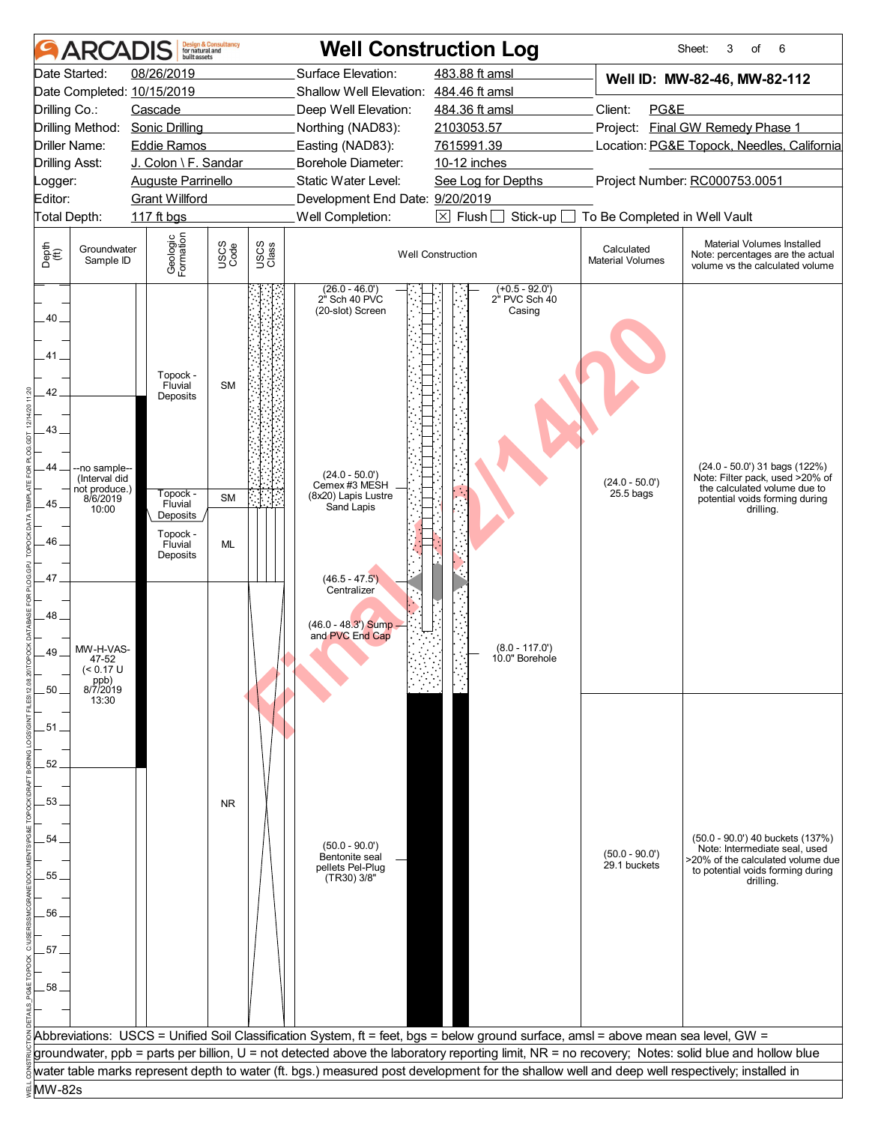|                                                                     | ARCADIS                                                                                                                                                                         | built assets                                                                                          | <b>Design &amp; Consultancy</b><br>for natural and |               | <b>Well Construction Log</b>                                                                                                                                                                                 |                                                                                                                                                  |                                  | Sheet:<br>of<br>6<br>3                                                                                                                                   |
|---------------------------------------------------------------------|---------------------------------------------------------------------------------------------------------------------------------------------------------------------------------|-------------------------------------------------------------------------------------------------------|----------------------------------------------------|---------------|--------------------------------------------------------------------------------------------------------------------------------------------------------------------------------------------------------------|--------------------------------------------------------------------------------------------------------------------------------------------------|----------------------------------|----------------------------------------------------------------------------------------------------------------------------------------------------------|
|                                                                     | Date Started:                                                                                                                                                                   | 08/26/2019                                                                                            |                                                    |               | Surface Elevation:                                                                                                                                                                                           | 483.88 ft amsl                                                                                                                                   |                                  | Well ID: MW-82-46, MW-82-112                                                                                                                             |
|                                                                     |                                                                                                                                                                                 | Date Completed: 10/15/2019                                                                            |                                                    |               | Shallow Well Elevation: 484.46 ft amsl                                                                                                                                                                       |                                                                                                                                                  |                                  |                                                                                                                                                          |
| Drilling Co.:                                                       |                                                                                                                                                                                 | Cascade                                                                                               |                                                    |               | Deep Well Elevation:                                                                                                                                                                                         | 484.36 ft amsl                                                                                                                                   | Client:<br>PG&E                  |                                                                                                                                                          |
|                                                                     |                                                                                                                                                                                 | Drilling Method: Sonic Drilling                                                                       |                                                    |               | Northing (NAD83):                                                                                                                                                                                            | 2103053.57                                                                                                                                       |                                  | Project: Final GW Remedy Phase 1                                                                                                                         |
|                                                                     | <b>Driller Name:</b>                                                                                                                                                            | <b>Eddie Ramos</b>                                                                                    |                                                    |               | Easting (NAD83):                                                                                                                                                                                             | 7615991.39                                                                                                                                       |                                  | Location: PG&E Topock, Needles, California                                                                                                               |
| <b>Drilling Asst:</b>                                               |                                                                                                                                                                                 | J. Colon \ F. Sandar                                                                                  |                                                    |               | <b>Borehole Diameter:</b><br>Static Water Level:                                                                                                                                                             | 10-12 inches                                                                                                                                     |                                  | Project Number: RC000753.0051                                                                                                                            |
| Logger:<br>Editor:                                                  |                                                                                                                                                                                 | <b>Auguste Parrinello</b><br><b>Grant Willford</b>                                                    |                                                    |               | Development End Date: 9/20/2019                                                                                                                                                                              | See Log for Depths                                                                                                                               |                                  |                                                                                                                                                          |
|                                                                     | Total Depth:                                                                                                                                                                    | 117 ft bgs                                                                                            |                                                    |               | Well Completion:                                                                                                                                                                                             | $\boxtimes$ Flush [<br>Stick-up                                                                                                                  | To Be Completed in Well Vault    |                                                                                                                                                          |
|                                                                     | Groundwater                                                                                                                                                                     |                                                                                                       |                                                    |               |                                                                                                                                                                                                              |                                                                                                                                                  | Calculated                       | Material Volumes Installed                                                                                                                               |
| Depth<br>$\bigoplus_{i=1}^{n}$                                      | Sample ID                                                                                                                                                                       | Geologic<br>Formation                                                                                 | USCS<br>Code                                       | USCS<br>Class |                                                                                                                                                                                                              | <b>Well Construction</b>                                                                                                                         | <b>Material Volumes</b>          | Note: percentages are the actual<br>volume vs the calculated volume                                                                                      |
| 40.<br>41<br>42<br>43.<br>44.<br>45<br>46<br>47<br>48<br>49<br>.50. | --no sample--<br>(Interval did<br>$\left  \begin{array}{c} \text{not produce.} \\ 8/6/2019 \end{array} \right $<br>10:00<br>MW-H-VAS-<br>47-52<br>(< 0.17 U<br>ppb)<br>8/7/2019 | Topock -<br>Fluvial<br>Deposits<br>Topock -<br>Fluvial<br>Deposits<br>Topock -<br>Fluvial<br>Deposits | <b>SM</b><br><b>SM</b><br><b>ML</b>                |               | (26.0 - 46.0')<br>2" Sch 40 PVC<br>(20-slot) Screen<br>$(24.0 - 50.0')$<br>Cemex #3 MESH<br>(8x20) Lapis Lustre<br>Sand Lapis<br>$(46.5 - 47.5')$<br>Centralizer<br>$(46.0 - 48.3')$ Sump<br>and PVC End Cap | $(+0.5 - 92.0')$<br>2" PVC Sch 40<br>Casing<br>$(8.0 - 117.0')$<br>10.0" Borehole                                                                | $(24.0 - 50.0')$<br>$25.5$ bags  | (24.0 - 50.0') 31 bags (122%)<br>Note: Filter pack, used >20% of<br>the calculated volume due to<br>potential voids forming during<br>drilling.          |
| .51.<br>52<br>53.<br>54<br>55<br>56<br>57.<br>58.                   | 13:30                                                                                                                                                                           |                                                                                                       | <b>NR</b>                                          |               | $(50.0 - 90.0)$<br>Bentonite seal<br>pellets Pel-Plug<br>(TR30) 3/8"                                                                                                                                         |                                                                                                                                                  | $(50.0 - 90.0')$<br>29.1 buckets | (50.0 - 90.0') 40 buckets (137%)<br>Note: Intermediate seal, used<br>>20% of the calculated volume due<br>to potential voids forming during<br>drilling. |
|                                                                     |                                                                                                                                                                                 |                                                                                                       |                                                    |               |                                                                                                                                                                                                              | Abbreviations: USCS = Unified Soil Classification System, ft = feet, bgs = below ground surface, amsl = above mean sea level, GW =               |                                  |                                                                                                                                                          |
|                                                                     |                                                                                                                                                                                 |                                                                                                       |                                                    |               |                                                                                                                                                                                                              | groundwater, ppb = parts per billion, U = not detected above the laboratory reporting limit, NR = no recovery; Notes: solid blue and hollow blue |                                  |                                                                                                                                                          |
|                                                                     |                                                                                                                                                                                 |                                                                                                       |                                                    |               |                                                                                                                                                                                                              | water table marks represent depth to water (ft. bgs.) measured post development for the shallow well and deep well respectively; installed in    |                                  |                                                                                                                                                          |
| MW-82s                                                              |                                                                                                                                                                                 |                                                                                                       |                                                    |               |                                                                                                                                                                                                              |                                                                                                                                                  |                                  |                                                                                                                                                          |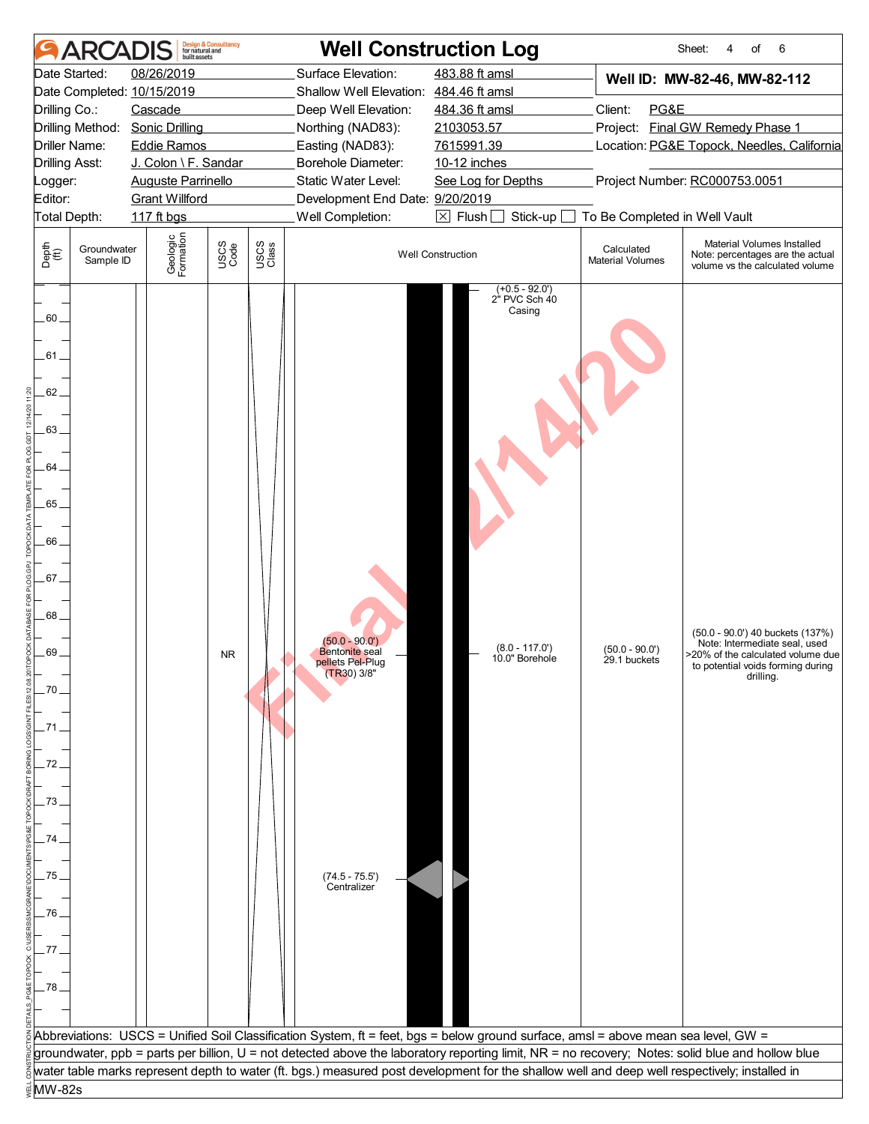| <b>ARCAI</b>                                                                                                                     | <b>Design &amp; Consultancy</b><br>for natural and<br>built assets | <b>Well Construction Log</b>                                                                                                                                                                                                                                                                      |                                                                                   |                                       | 6<br>Sheet:<br>4<br>of                                                                                                                                   |
|----------------------------------------------------------------------------------------------------------------------------------|--------------------------------------------------------------------|---------------------------------------------------------------------------------------------------------------------------------------------------------------------------------------------------------------------------------------------------------------------------------------------------|-----------------------------------------------------------------------------------|---------------------------------------|----------------------------------------------------------------------------------------------------------------------------------------------------------|
| Date Started:                                                                                                                    | 08/26/2019                                                         | Surface Elevation:                                                                                                                                                                                                                                                                                | 483.88 ft amsl                                                                    |                                       | Well ID: MW-82-46, MW-82-112                                                                                                                             |
| Date Completed: 10/15/2019                                                                                                       |                                                                    | Shallow Well Elevation: 484.46 ft amsl                                                                                                                                                                                                                                                            |                                                                                   |                                       |                                                                                                                                                          |
| Drilling Co.:                                                                                                                    | Cascade                                                            | Deep Well Elevation:                                                                                                                                                                                                                                                                              | 484.36 ft amsl                                                                    | Client:<br>PG&E                       |                                                                                                                                                          |
| Drilling Method:                                                                                                                 | <b>Sonic Drilling</b>                                              | Northing (NAD83):                                                                                                                                                                                                                                                                                 | 2103053.57                                                                        |                                       | Project: Final GW Remedy Phase 1                                                                                                                         |
| Driller Name:                                                                                                                    | <b>Eddie Ramos</b>                                                 | Easting (NAD83):                                                                                                                                                                                                                                                                                  | 7615991.39                                                                        |                                       | Location: PG&E Topock, Needles, California                                                                                                               |
| <b>Drilling Asst:</b>                                                                                                            | J. Colon \ F. Sandar                                               | <b>Borehole Diameter:</b>                                                                                                                                                                                                                                                                         | 10-12 inches                                                                      |                                       |                                                                                                                                                          |
| Logger:                                                                                                                          | <b>Auguste Parrinello</b>                                          | Static Water Level:                                                                                                                                                                                                                                                                               | See Log for Depths                                                                |                                       | Project Number: RC000753.0051                                                                                                                            |
| Editor:                                                                                                                          | <b>Grant Willford</b>                                              | Development End Date: 9/20/2019                                                                                                                                                                                                                                                                   |                                                                                   |                                       |                                                                                                                                                          |
| Total Depth:                                                                                                                     | 117 ft bgs                                                         | Well Completion:                                                                                                                                                                                                                                                                                  | $\boxtimes$ Flush<br>Stick-up                                                     | To Be Completed in Well Vault         |                                                                                                                                                          |
| Depth<br>(ff)<br>Groundwater<br>Sample ID                                                                                        | Geologic<br>Formation<br>USCS<br>Code                              | USCS<br>Class                                                                                                                                                                                                                                                                                     | <b>Well Construction</b>                                                          | Calculated<br><b>Material Volumes</b> | Material Volumes Installed<br>Note: percentages are the actual<br>volume vs the calculated volume                                                        |
| 60.<br>.61<br>62.<br>63.<br>64.<br>65.<br>66<br>67.<br>68.<br>69<br>.70<br>.71.<br>72<br>73.<br>74.<br>.75<br>76<br>.77.<br>.78. | <b>NR</b>                                                          | $(50.0 - 90.0')$<br><b>Bentonite</b> seal<br>pellets Pel-Plug<br>$(TR30)$ 3/8"<br>$(74.5 - 75.5')$<br>Centralizer                                                                                                                                                                                 | $(+0.5 - 92.0')$<br>2" PVC Sch 40<br>Casing<br>$(8.0 - 117.0')$<br>10.0" Borehole | $(50.0 - 90.0)$<br>29.1 buckets       | (50.0 - 90.0') 40 buckets (137%)<br>Note: Intermediate seal, used<br>>20% of the calculated volume due<br>to potential voids forming during<br>drilling. |
|                                                                                                                                  |                                                                    |                                                                                                                                                                                                                                                                                                   |                                                                                   |                                       |                                                                                                                                                          |
|                                                                                                                                  |                                                                    |                                                                                                                                                                                                                                                                                                   |                                                                                   |                                       |                                                                                                                                                          |
|                                                                                                                                  |                                                                    | Abbreviations: USCS = Unified Soil Classification System, ft = feet, bgs = below ground surface, amsl = above mean sea level, GW =                                                                                                                                                                |                                                                                   |                                       |                                                                                                                                                          |
|                                                                                                                                  |                                                                    | groundwater, ppb = parts per billion, U = not detected above the laboratory reporting limit, NR = no recovery; Notes: solid blue and hollow blue<br>water table marks represent depth to water (ft. bgs.) measured post development for the shallow well and deep well respectively; installed in |                                                                                   |                                       |                                                                                                                                                          |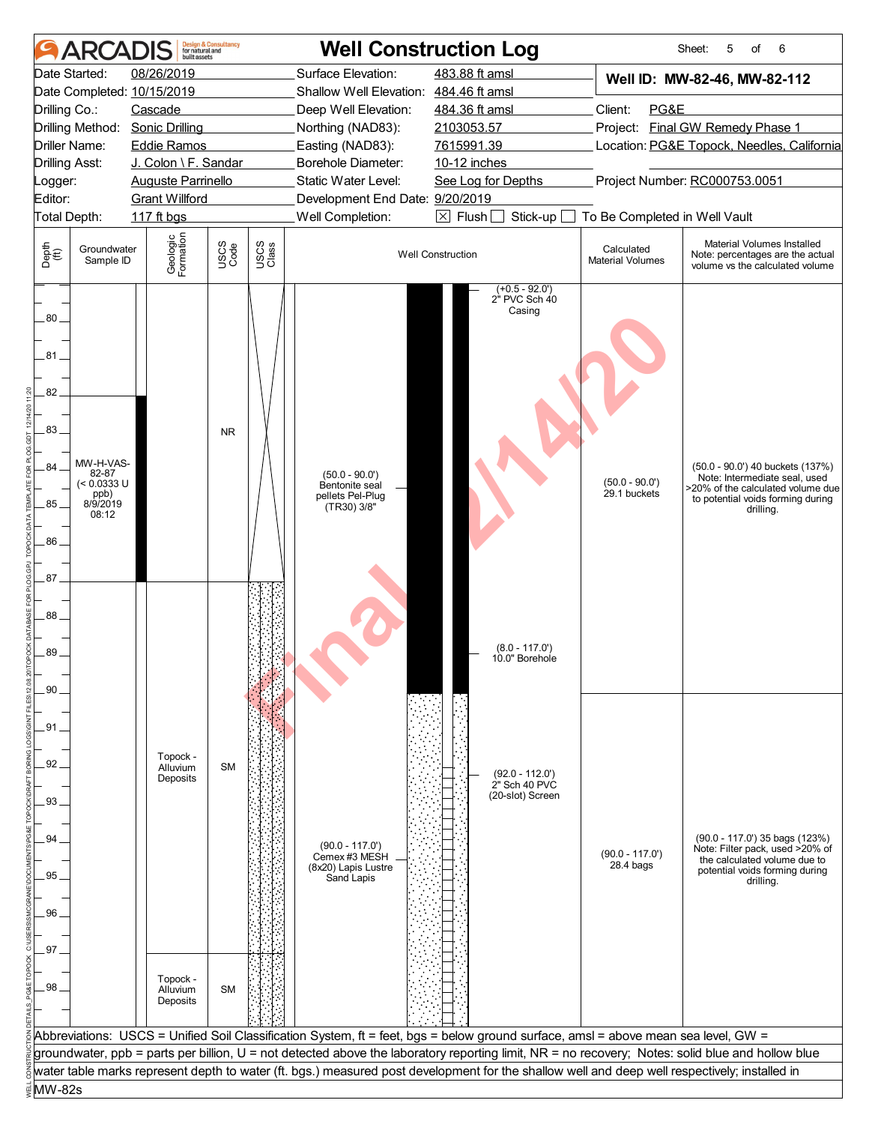|                                                                     | <b>ARCADIS</b>                                                 | built assets                                                         | <b>Design &amp; Consultancy</b><br>for natural and |               |                                                                         | <b>Well Construction Log</b>                                                                                                                     |                                       | 6<br>Sheet:<br>5<br>of                                                                                                                                   |
|---------------------------------------------------------------------|----------------------------------------------------------------|----------------------------------------------------------------------|----------------------------------------------------|---------------|-------------------------------------------------------------------------|--------------------------------------------------------------------------------------------------------------------------------------------------|---------------------------------------|----------------------------------------------------------------------------------------------------------------------------------------------------------|
|                                                                     | Date Started:                                                  | 08/26/2019                                                           |                                                    |               | Surface Elevation:                                                      | 483.88 ft amsl                                                                                                                                   |                                       | Well ID: MW-82-46, MW-82-112                                                                                                                             |
|                                                                     |                                                                | Date Completed: 10/15/2019                                           |                                                    |               | Shallow Well Elevation: 484.46 ft amsl                                  |                                                                                                                                                  |                                       |                                                                                                                                                          |
| Drilling Co.:                                                       |                                                                | Cascade                                                              |                                                    |               | Deep Well Elevation:                                                    | 484.36 ft amsl                                                                                                                                   | Client:<br>PG&E                       |                                                                                                                                                          |
|                                                                     |                                                                | Drilling Method: Sonic Drilling                                      |                                                    |               | Northing (NAD83):                                                       | 2103053.57                                                                                                                                       |                                       | Project: Final GW Remedy Phase 1                                                                                                                         |
|                                                                     | <b>Driller Name:</b>                                           | <b>Eddie Ramos</b>                                                   |                                                    |               | Easting (NAD83):                                                        | 7615991.39                                                                                                                                       |                                       | Location: PG&E Topock, Needles, California                                                                                                               |
|                                                                     | <b>Drilling Asst:</b>                                          | J. Colon \ F. Sandar                                                 |                                                    |               | <b>Borehole Diameter:</b><br>Static Water Level:                        | 10-12 inches                                                                                                                                     |                                       | Project Number: RC000753.0051                                                                                                                            |
| Logger:<br>Editor:                                                  |                                                                | <b>Auguste Parrinello</b><br><b>Grant Willford</b>                   |                                                    |               | Development End Date: 9/20/2019                                         | See Log for Depths                                                                                                                               |                                       |                                                                                                                                                          |
|                                                                     | Total Depth:                                                   | 117 ft bgs                                                           |                                                    |               | Well Completion:                                                        | $\boxtimes$ Flush<br>Stick-up                                                                                                                    | To Be Completed in Well Vault         |                                                                                                                                                          |
| Depth<br>(ff)                                                       | Groundwater<br>Sample ID                                       | Geologic<br>Formation                                                | USCS<br>Code                                       | USCS<br>Class |                                                                         | <b>Well Construction</b>                                                                                                                         | Calculated<br><b>Material Volumes</b> | Material Volumes Installed<br>Note: percentages are the actual<br>volume vs the calculated volume                                                        |
| 80.<br>81<br>82<br>.83.<br>84<br>85<br>86.<br>87<br>88<br>89<br>.90 | MW-H-VAS-<br>82-87<br>(< 0.0333 U<br>ppb)<br>8/9/2019<br>08:12 |                                                                      | <b>NR</b>                                          |               | $(50.0 - 90.0)$<br>Bentonite seal<br>pellets Pel-Plug<br>(TR30) 3/8"    | $(+0.5 - 92.0')$<br>2" PVC Sch 40<br>Casing<br>$(8.0 - 117.0')$<br>10.0" Borehole                                                                | $(50.0 - 90.0)$<br>29.1 buckets       | (50.0 - 90.0') 40 buckets (137%)<br>Note: Intermediate seal, used<br>>20% of the calculated volume due<br>to potential voids forming during<br>drilling. |
| .91.<br>92<br>93.<br>94<br>95<br>96<br>.97<br>98.                   |                                                                | Topock -<br>Alluvium<br>Deposits<br>Topock -<br>Alluvium<br>Deposits | <b>SM</b><br><b>SM</b>                             |               | $(90.0 - 117.0')$<br>Cemex #3 MESH<br>(8x20) Lapis Lustre<br>Sand Lapis | $(92.0 - 112.0')$<br>2" Sch 40 PVC<br>(20-slot) Screen                                                                                           | $(90.0 - 117.0')$<br>$28.4$ bags      | (90.0 - 117.0') 35 bags (123%)<br>Note: Filter pack, used >20% of<br>the calculated volume due to<br>potential voids forming during<br>drilling.         |
|                                                                     |                                                                |                                                                      |                                                    |               |                                                                         |                                                                                                                                                  |                                       |                                                                                                                                                          |
|                                                                     |                                                                |                                                                      |                                                    |               |                                                                         | Abbreviations: USCS = Unified Soil Classification System, ft = feet, bgs = below ground surface, amsl = above mean sea level, GW =               |                                       |                                                                                                                                                          |
|                                                                     |                                                                |                                                                      |                                                    |               |                                                                         | groundwater, ppb = parts per billion, U = not detected above the laboratory reporting limit, NR = no recovery; Notes: solid blue and hollow blue |                                       |                                                                                                                                                          |
|                                                                     |                                                                |                                                                      |                                                    |               |                                                                         | water table marks represent depth to water (ft. bgs.) measured post development for the shallow well and deep well respectively; installed in    |                                       |                                                                                                                                                          |
| MW-82s                                                              |                                                                |                                                                      |                                                    |               |                                                                         |                                                                                                                                                  |                                       |                                                                                                                                                          |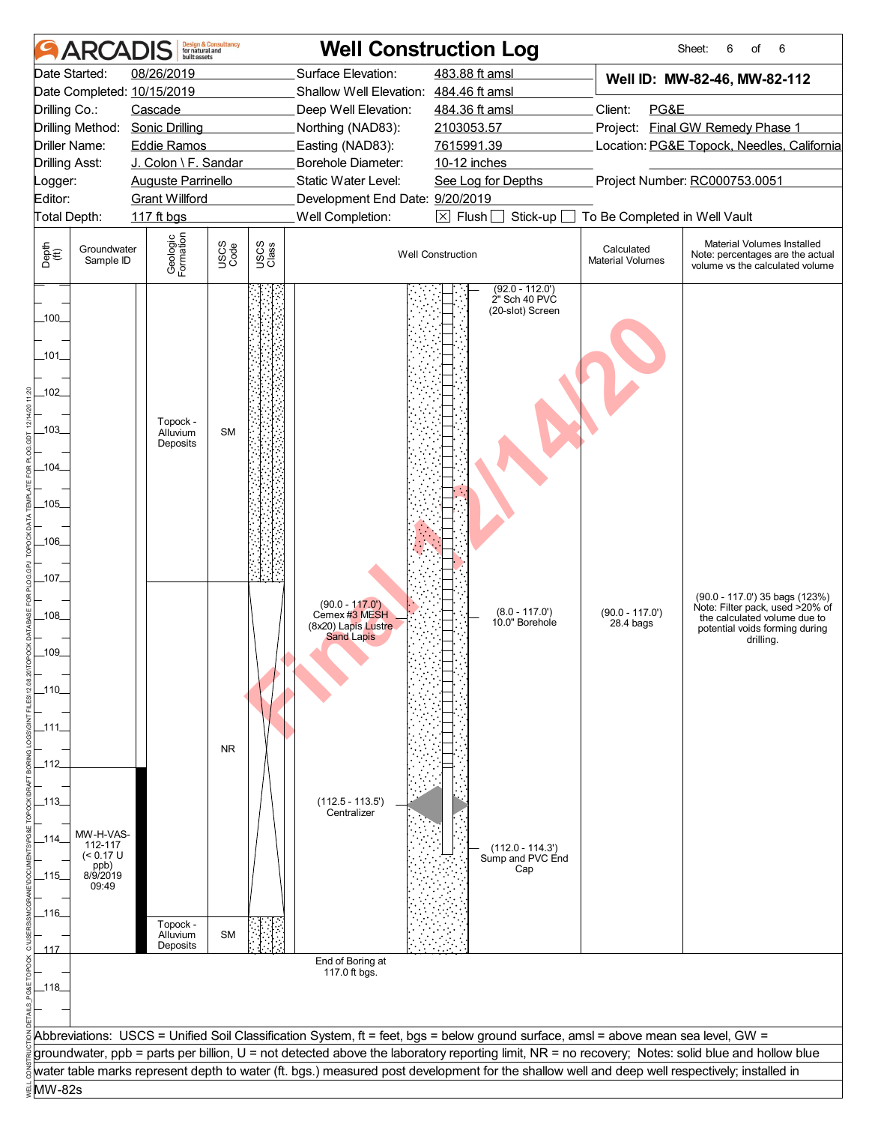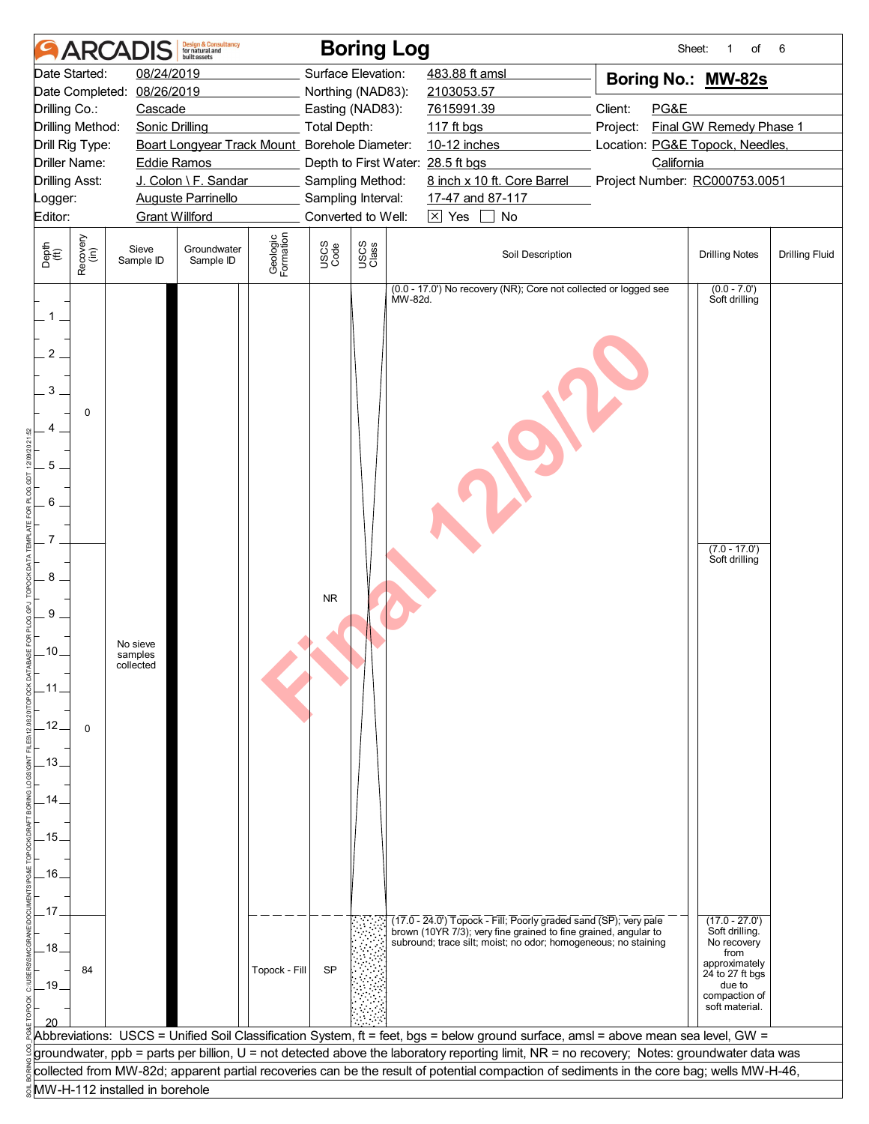|                                                              | <b>ARCAI</b>         |                                  | <b>Design &amp; Consultancy</b><br>for natural and<br>built assets |                       |                     | <b>Boring Log</b>  |                                            |                                                                                                                                                                                                                                                                                                                                                                                                                                                                                           |         | Sheet:                          | 1<br>of                                                                                                                                   | 6                     |
|--------------------------------------------------------------|----------------------|----------------------------------|--------------------------------------------------------------------|-----------------------|---------------------|--------------------|--------------------------------------------|-------------------------------------------------------------------------------------------------------------------------------------------------------------------------------------------------------------------------------------------------------------------------------------------------------------------------------------------------------------------------------------------------------------------------------------------------------------------------------------------|---------|---------------------------------|-------------------------------------------------------------------------------------------------------------------------------------------|-----------------------|
|                                                              | Date Started:        | 08/24/2019                       |                                                                    |                       |                     | Surface Elevation: |                                            | 483.88 ft amsl                                                                                                                                                                                                                                                                                                                                                                                                                                                                            |         | Boring No.: MW-82s              |                                                                                                                                           |                       |
|                                                              | Date Completed:      | 08/26/2019                       |                                                                    |                       |                     | Northing (NAD83):  | 2103053.57                                 |                                                                                                                                                                                                                                                                                                                                                                                                                                                                                           |         |                                 |                                                                                                                                           |                       |
| Drilling Co.:                                                |                      | Cascade                          |                                                                    |                       |                     | Easting (NAD83):   | 7615991.39                                 |                                                                                                                                                                                                                                                                                                                                                                                                                                                                                           | Client: | PG&E                            |                                                                                                                                           |                       |
|                                                              | Drilling Method:     | <b>Sonic Drilling</b>            |                                                                    |                       | <b>Total Depth:</b> |                    | 117 ft bgs                                 |                                                                                                                                                                                                                                                                                                                                                                                                                                                                                           |         | Project:                        | Final GW Remedy Phase 1                                                                                                                   |                       |
|                                                              | Drill Rig Type:      |                                  | Boart Longyear Track Mount Borehole Diameter:                      |                       |                     |                    |                                            | 10-12 inches                                                                                                                                                                                                                                                                                                                                                                                                                                                                              |         | Location: PG&E Topock, Needles, |                                                                                                                                           |                       |
|                                                              | <b>Driller Name:</b> | <b>Eddie Ramos</b>               |                                                                    |                       |                     |                    | Depth to First Water: 28.5 ft bgs          |                                                                                                                                                                                                                                                                                                                                                                                                                                                                                           |         | California                      |                                                                                                                                           |                       |
| <b>Drilling Asst:</b>                                        |                      |                                  | J. Colon \ F. Sandar                                               |                       |                     | Sampling Method:   |                                            | 8 inch x 10 ft. Core Barrel                                                                                                                                                                                                                                                                                                                                                                                                                                                               |         | Project Number: RC000753.0051   |                                                                                                                                           |                       |
| Logger:                                                      |                      |                                  | <b>Auguste Parrinello</b>                                          |                       |                     | Sampling Interval: |                                            | 17-47 and 87-117                                                                                                                                                                                                                                                                                                                                                                                                                                                                          |         |                                 |                                                                                                                                           |                       |
| Editor:                                                      |                      | <b>Grant Willford</b>            |                                                                    |                       |                     | Converted to Well: | $\boxed{\times}$ Yes $\boxed{\phantom{0}}$ | No                                                                                                                                                                                                                                                                                                                                                                                                                                                                                        |         |                                 |                                                                                                                                           |                       |
| Depth<br>(ft)                                                | Recovery<br>(in)     | Sieve<br>Sample ID               | Groundwater<br>Sample ID                                           | Geologic<br>Formation | USCS<br>Code        | USCS<br>Class      |                                            | Soil Description                                                                                                                                                                                                                                                                                                                                                                                                                                                                          |         |                                 | <b>Drilling Notes</b>                                                                                                                     | <b>Drilling Fluid</b> |
| $1$ .<br>$\overline{2}$<br>3<br>5<br>6                       | 0                    |                                  |                                                                    |                       |                     |                    | MW-82d.                                    | (0.0 - 17.0') No recovery (NR); Core not collected or logged see                                                                                                                                                                                                                                                                                                                                                                                                                          |         |                                 | $(0.0 - 7.0')$<br>Soft drilling                                                                                                           |                       |
| 8<br>9<br>-10.<br>.11<br>.12.<br>.13.<br>.14<br>.15.<br>.16. | $\Omega$             | No sieve<br>samples<br>collected |                                                                    |                       | <b>NR</b>           |                    |                                            |                                                                                                                                                                                                                                                                                                                                                                                                                                                                                           |         |                                 | $(7.0 - 17.0')$<br>Soft drilling                                                                                                          |                       |
| .17<br>.18.<br>$-19.$                                        | 84                   |                                  |                                                                    | Topock - Fill         | <b>SP</b>           |                    |                                            | (17.0 - 24.0') Topock - Fill; Poorly graded sand (SP); very pale<br>brown (10YR 7/3); very fine grained to fine grained, angular to<br>subround; trace silt; moist; no odor; homogeneous; no staining<br>Abbreviations: USCS = Unified Soil Classification System, ft = feet, bgs = below ground surface, amsl = above mean sea level, GW =<br>groundwater, ppb = parts per billion, U = not detected above the laboratory reporting limit, NR = no recovery; Notes: groundwater data was |         |                                 | $(17.0 - 27.0)$<br>Soft drilling.<br>No recovery<br>from<br>approximately<br>24 to 27 ft bgs<br>due to<br>compaction of<br>soft material. |                       |
|                                                              |                      |                                  |                                                                    |                       |                     |                    |                                            |                                                                                                                                                                                                                                                                                                                                                                                                                                                                                           |         |                                 |                                                                                                                                           |                       |
|                                                              |                      |                                  |                                                                    |                       |                     |                    |                                            | collected from MW-82d; apparent partial recoveries can be the result of potential compaction of sediments in the core bag; wells MW-H-46,                                                                                                                                                                                                                                                                                                                                                 |         |                                 |                                                                                                                                           |                       |
|                                                              |                      | MW-H-112 installed in borehole   |                                                                    |                       |                     |                    |                                            |                                                                                                                                                                                                                                                                                                                                                                                                                                                                                           |         |                                 |                                                                                                                                           |                       |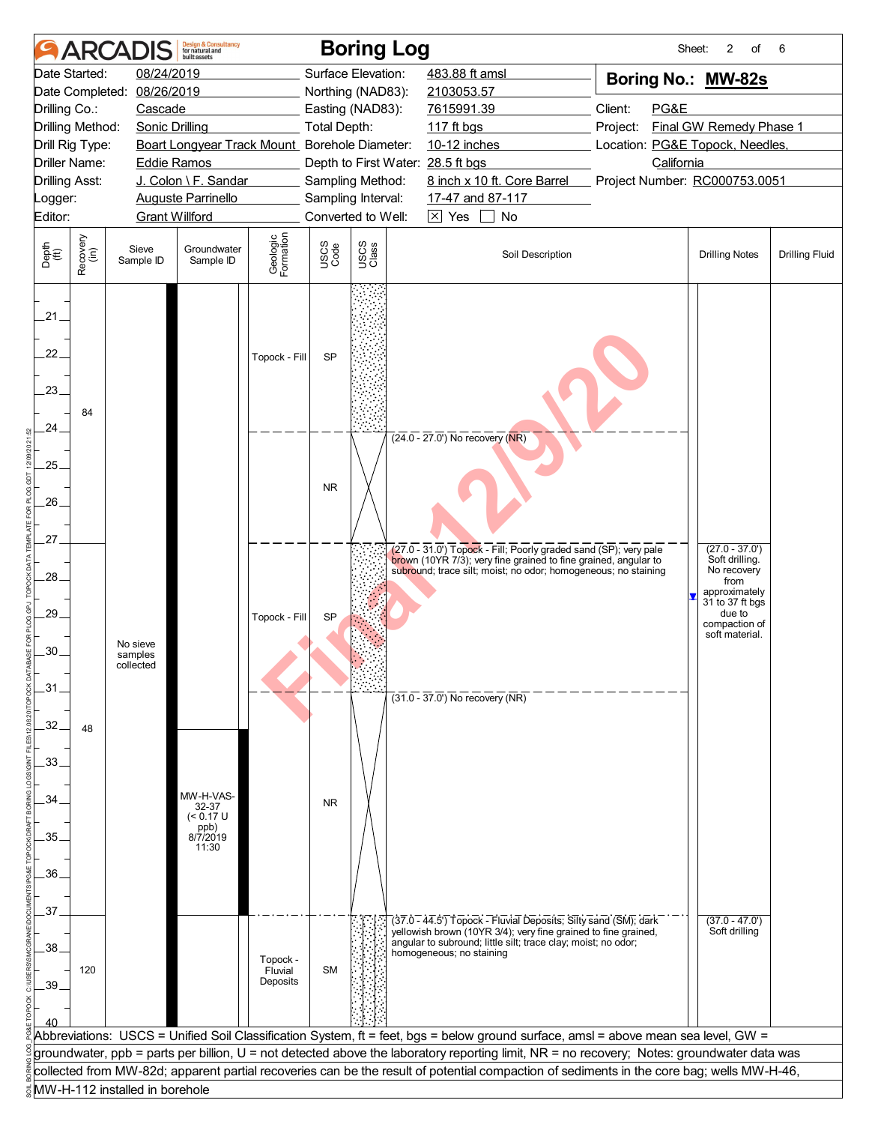| 08/24/2019<br>Surface Elevation:<br>Date Started:<br>483.88 ft amsl<br>Boring No.: MW-82s<br>08/26/2019<br>Northing (NAD83):<br>Date Completed:<br>2103053.57<br>Client:<br>Drilling Co.:<br>7615991.39<br>PG&E<br>Cascade<br>Easting (NAD83):<br>Drilling Method:<br><b>Total Depth:</b><br>Final GW Remedy Phase 1<br><b>Sonic Drilling</b><br>$117$ ft bgs<br>Project:<br>Boart Longyear Track Mount_ Borehole Diameter:<br>10-12 inches<br>Location: PG&E Topock, Needles,<br>Drill Rig Type:<br><b>Driller Name:</b><br>Depth to First Water: 28.5 ft bgs<br>California<br><b>Eddie Ramos</b><br>J. Colon \ F. Sandar<br>8 inch x 10 ft. Core Barrel<br>Project Number: RC000753.0051<br><b>Drilling Asst:</b><br>Sampling Method:<br>Sampling Interval:<br>17-47 and 87-117<br><b>Auguste Parrinello</b><br>Logger:<br>Converted to Well:<br>$\boxtimes$ Yes<br>$\perp$<br>Editor:<br><b>Grant Willford</b><br>No<br>Geologic<br>Formation<br>Recovery<br>(in)<br>USCS<br>Class<br>USCS<br>Code<br>Sieve<br>Groundwater<br>Soil Description<br><b>Drilling Notes</b><br><b>Drilling Fluid</b><br>Sample ID<br>Sample ID<br>21<br>22.<br><b>SP</b><br>Topock - Fill<br>23.<br>84<br>24<br>$(24.0 - 27.0)$ No recovery (NR)<br>.25.<br><b>NR</b><br>26.<br>.27.<br>$(27.0 - 37.0')$<br>(27.0 - 31.0') Topock - Fill; Poorly graded sand (SP); very pale<br>Soft drilling.<br>brown (10YR 7/3); very fine grained to fine grained, angular to<br>No recovery<br>subround; trace silt; moist; no odor; homogeneous; no staining<br>28.<br>from<br>approximately<br>31 to 37 ft bgs<br>29.<br>due to<br><b>SP</b><br>Topock - Fill<br>compaction of<br>soft material.<br>No sieve<br>.30<br>samples<br>collected<br>31<br>$(31.0 - 37.0)$ No recovery (NR)<br>32.<br>48<br>33.<br>MW-H-VAS-<br>.34<br><b>NR</b><br>32-37<br>$(< 0.17$ U<br>ppb)<br>8/7/2019<br>35.<br>11:30<br>.36.<br>37.<br>$(37.0 - 47.0')$<br>(37.0 - 44.5') Topock - Fluvial Deposits; Silty sand (SM); dark<br>Soft drilling<br>yellowish brown (10YR 3/4); very fine grained to fine grained,<br>angular to subround; little silt; trace clay; moist; no odor;<br>.38<br>homogeneous; no staining<br>Topock -<br><b>SM</b><br>120<br>Fluvial<br>Deposits<br>.39<br>Abbreviations: USCS = Unified Soil Classification System, ft = feet, bgs = below ground surface, amsl = above mean sea level, GW =<br>groundwater, ppb = parts per billion, U = not detected above the laboratory reporting limit, NR = no recovery; Notes: groundwater data was<br>collected from MW-82d; apparent partial recoveries can be the result of potential compaction of sediments in the core bag; wells MW-H-46,<br>MW-H-112 installed in borehole |               | <b>AR</b> | <b>Design &amp; Consultancy</b><br>for natural and<br>huilt assets |  | <b>Boring Log</b> | Sheet: | 2<br>of | 6 |
|------------------------------------------------------------------------------------------------------------------------------------------------------------------------------------------------------------------------------------------------------------------------------------------------------------------------------------------------------------------------------------------------------------------------------------------------------------------------------------------------------------------------------------------------------------------------------------------------------------------------------------------------------------------------------------------------------------------------------------------------------------------------------------------------------------------------------------------------------------------------------------------------------------------------------------------------------------------------------------------------------------------------------------------------------------------------------------------------------------------------------------------------------------------------------------------------------------------------------------------------------------------------------------------------------------------------------------------------------------------------------------------------------------------------------------------------------------------------------------------------------------------------------------------------------------------------------------------------------------------------------------------------------------------------------------------------------------------------------------------------------------------------------------------------------------------------------------------------------------------------------------------------------------------------------------------------------------------------------------------------------------------------------------------------------------------------------------------------------------------------------------------------------------------------------------------------------------------------------------------------------------------------------------------------------------------------------------------------------------------------------------------------------------------------------------------------------------------------------------------------------------------------------------------------------------------------------------------------------------------------------------------------------------------------------------------------------------|---------------|-----------|--------------------------------------------------------------------|--|-------------------|--------|---------|---|
|                                                                                                                                                                                                                                                                                                                                                                                                                                                                                                                                                                                                                                                                                                                                                                                                                                                                                                                                                                                                                                                                                                                                                                                                                                                                                                                                                                                                                                                                                                                                                                                                                                                                                                                                                                                                                                                                                                                                                                                                                                                                                                                                                                                                                                                                                                                                                                                                                                                                                                                                                                                                                                                                                                            |               |           |                                                                    |  |                   |        |         |   |
|                                                                                                                                                                                                                                                                                                                                                                                                                                                                                                                                                                                                                                                                                                                                                                                                                                                                                                                                                                                                                                                                                                                                                                                                                                                                                                                                                                                                                                                                                                                                                                                                                                                                                                                                                                                                                                                                                                                                                                                                                                                                                                                                                                                                                                                                                                                                                                                                                                                                                                                                                                                                                                                                                                            |               |           |                                                                    |  |                   |        |         |   |
|                                                                                                                                                                                                                                                                                                                                                                                                                                                                                                                                                                                                                                                                                                                                                                                                                                                                                                                                                                                                                                                                                                                                                                                                                                                                                                                                                                                                                                                                                                                                                                                                                                                                                                                                                                                                                                                                                                                                                                                                                                                                                                                                                                                                                                                                                                                                                                                                                                                                                                                                                                                                                                                                                                            |               |           |                                                                    |  |                   |        |         |   |
|                                                                                                                                                                                                                                                                                                                                                                                                                                                                                                                                                                                                                                                                                                                                                                                                                                                                                                                                                                                                                                                                                                                                                                                                                                                                                                                                                                                                                                                                                                                                                                                                                                                                                                                                                                                                                                                                                                                                                                                                                                                                                                                                                                                                                                                                                                                                                                                                                                                                                                                                                                                                                                                                                                            |               |           |                                                                    |  |                   |        |         |   |
|                                                                                                                                                                                                                                                                                                                                                                                                                                                                                                                                                                                                                                                                                                                                                                                                                                                                                                                                                                                                                                                                                                                                                                                                                                                                                                                                                                                                                                                                                                                                                                                                                                                                                                                                                                                                                                                                                                                                                                                                                                                                                                                                                                                                                                                                                                                                                                                                                                                                                                                                                                                                                                                                                                            |               |           |                                                                    |  |                   |        |         |   |
|                                                                                                                                                                                                                                                                                                                                                                                                                                                                                                                                                                                                                                                                                                                                                                                                                                                                                                                                                                                                                                                                                                                                                                                                                                                                                                                                                                                                                                                                                                                                                                                                                                                                                                                                                                                                                                                                                                                                                                                                                                                                                                                                                                                                                                                                                                                                                                                                                                                                                                                                                                                                                                                                                                            |               |           |                                                                    |  |                   |        |         |   |
|                                                                                                                                                                                                                                                                                                                                                                                                                                                                                                                                                                                                                                                                                                                                                                                                                                                                                                                                                                                                                                                                                                                                                                                                                                                                                                                                                                                                                                                                                                                                                                                                                                                                                                                                                                                                                                                                                                                                                                                                                                                                                                                                                                                                                                                                                                                                                                                                                                                                                                                                                                                                                                                                                                            |               |           |                                                                    |  |                   |        |         |   |
|                                                                                                                                                                                                                                                                                                                                                                                                                                                                                                                                                                                                                                                                                                                                                                                                                                                                                                                                                                                                                                                                                                                                                                                                                                                                                                                                                                                                                                                                                                                                                                                                                                                                                                                                                                                                                                                                                                                                                                                                                                                                                                                                                                                                                                                                                                                                                                                                                                                                                                                                                                                                                                                                                                            |               |           |                                                                    |  |                   |        |         |   |
|                                                                                                                                                                                                                                                                                                                                                                                                                                                                                                                                                                                                                                                                                                                                                                                                                                                                                                                                                                                                                                                                                                                                                                                                                                                                                                                                                                                                                                                                                                                                                                                                                                                                                                                                                                                                                                                                                                                                                                                                                                                                                                                                                                                                                                                                                                                                                                                                                                                                                                                                                                                                                                                                                                            |               |           |                                                                    |  |                   |        |         |   |
|                                                                                                                                                                                                                                                                                                                                                                                                                                                                                                                                                                                                                                                                                                                                                                                                                                                                                                                                                                                                                                                                                                                                                                                                                                                                                                                                                                                                                                                                                                                                                                                                                                                                                                                                                                                                                                                                                                                                                                                                                                                                                                                                                                                                                                                                                                                                                                                                                                                                                                                                                                                                                                                                                                            | Depth<br>(ft) |           |                                                                    |  |                   |        |         |   |
|                                                                                                                                                                                                                                                                                                                                                                                                                                                                                                                                                                                                                                                                                                                                                                                                                                                                                                                                                                                                                                                                                                                                                                                                                                                                                                                                                                                                                                                                                                                                                                                                                                                                                                                                                                                                                                                                                                                                                                                                                                                                                                                                                                                                                                                                                                                                                                                                                                                                                                                                                                                                                                                                                                            |               |           |                                                                    |  |                   |        |         |   |
|                                                                                                                                                                                                                                                                                                                                                                                                                                                                                                                                                                                                                                                                                                                                                                                                                                                                                                                                                                                                                                                                                                                                                                                                                                                                                                                                                                                                                                                                                                                                                                                                                                                                                                                                                                                                                                                                                                                                                                                                                                                                                                                                                                                                                                                                                                                                                                                                                                                                                                                                                                                                                                                                                                            |               |           |                                                                    |  |                   |        |         |   |
|                                                                                                                                                                                                                                                                                                                                                                                                                                                                                                                                                                                                                                                                                                                                                                                                                                                                                                                                                                                                                                                                                                                                                                                                                                                                                                                                                                                                                                                                                                                                                                                                                                                                                                                                                                                                                                                                                                                                                                                                                                                                                                                                                                                                                                                                                                                                                                                                                                                                                                                                                                                                                                                                                                            |               |           |                                                                    |  |                   |        |         |   |
|                                                                                                                                                                                                                                                                                                                                                                                                                                                                                                                                                                                                                                                                                                                                                                                                                                                                                                                                                                                                                                                                                                                                                                                                                                                                                                                                                                                                                                                                                                                                                                                                                                                                                                                                                                                                                                                                                                                                                                                                                                                                                                                                                                                                                                                                                                                                                                                                                                                                                                                                                                                                                                                                                                            |               |           |                                                                    |  |                   |        |         |   |
|                                                                                                                                                                                                                                                                                                                                                                                                                                                                                                                                                                                                                                                                                                                                                                                                                                                                                                                                                                                                                                                                                                                                                                                                                                                                                                                                                                                                                                                                                                                                                                                                                                                                                                                                                                                                                                                                                                                                                                                                                                                                                                                                                                                                                                                                                                                                                                                                                                                                                                                                                                                                                                                                                                            |               |           |                                                                    |  |                   |        |         |   |
|                                                                                                                                                                                                                                                                                                                                                                                                                                                                                                                                                                                                                                                                                                                                                                                                                                                                                                                                                                                                                                                                                                                                                                                                                                                                                                                                                                                                                                                                                                                                                                                                                                                                                                                                                                                                                                                                                                                                                                                                                                                                                                                                                                                                                                                                                                                                                                                                                                                                                                                                                                                                                                                                                                            |               |           |                                                                    |  |                   |        |         |   |
|                                                                                                                                                                                                                                                                                                                                                                                                                                                                                                                                                                                                                                                                                                                                                                                                                                                                                                                                                                                                                                                                                                                                                                                                                                                                                                                                                                                                                                                                                                                                                                                                                                                                                                                                                                                                                                                                                                                                                                                                                                                                                                                                                                                                                                                                                                                                                                                                                                                                                                                                                                                                                                                                                                            |               |           |                                                                    |  |                   |        |         |   |
|                                                                                                                                                                                                                                                                                                                                                                                                                                                                                                                                                                                                                                                                                                                                                                                                                                                                                                                                                                                                                                                                                                                                                                                                                                                                                                                                                                                                                                                                                                                                                                                                                                                                                                                                                                                                                                                                                                                                                                                                                                                                                                                                                                                                                                                                                                                                                                                                                                                                                                                                                                                                                                                                                                            |               |           |                                                                    |  |                   |        |         |   |
|                                                                                                                                                                                                                                                                                                                                                                                                                                                                                                                                                                                                                                                                                                                                                                                                                                                                                                                                                                                                                                                                                                                                                                                                                                                                                                                                                                                                                                                                                                                                                                                                                                                                                                                                                                                                                                                                                                                                                                                                                                                                                                                                                                                                                                                                                                                                                                                                                                                                                                                                                                                                                                                                                                            |               |           |                                                                    |  |                   |        |         |   |
|                                                                                                                                                                                                                                                                                                                                                                                                                                                                                                                                                                                                                                                                                                                                                                                                                                                                                                                                                                                                                                                                                                                                                                                                                                                                                                                                                                                                                                                                                                                                                                                                                                                                                                                                                                                                                                                                                                                                                                                                                                                                                                                                                                                                                                                                                                                                                                                                                                                                                                                                                                                                                                                                                                            |               |           |                                                                    |  |                   |        |         |   |
|                                                                                                                                                                                                                                                                                                                                                                                                                                                                                                                                                                                                                                                                                                                                                                                                                                                                                                                                                                                                                                                                                                                                                                                                                                                                                                                                                                                                                                                                                                                                                                                                                                                                                                                                                                                                                                                                                                                                                                                                                                                                                                                                                                                                                                                                                                                                                                                                                                                                                                                                                                                                                                                                                                            |               |           |                                                                    |  |                   |        |         |   |
|                                                                                                                                                                                                                                                                                                                                                                                                                                                                                                                                                                                                                                                                                                                                                                                                                                                                                                                                                                                                                                                                                                                                                                                                                                                                                                                                                                                                                                                                                                                                                                                                                                                                                                                                                                                                                                                                                                                                                                                                                                                                                                                                                                                                                                                                                                                                                                                                                                                                                                                                                                                                                                                                                                            |               |           |                                                                    |  |                   |        |         |   |
|                                                                                                                                                                                                                                                                                                                                                                                                                                                                                                                                                                                                                                                                                                                                                                                                                                                                                                                                                                                                                                                                                                                                                                                                                                                                                                                                                                                                                                                                                                                                                                                                                                                                                                                                                                                                                                                                                                                                                                                                                                                                                                                                                                                                                                                                                                                                                                                                                                                                                                                                                                                                                                                                                                            |               |           |                                                                    |  |                   |        |         |   |
|                                                                                                                                                                                                                                                                                                                                                                                                                                                                                                                                                                                                                                                                                                                                                                                                                                                                                                                                                                                                                                                                                                                                                                                                                                                                                                                                                                                                                                                                                                                                                                                                                                                                                                                                                                                                                                                                                                                                                                                                                                                                                                                                                                                                                                                                                                                                                                                                                                                                                                                                                                                                                                                                                                            |               |           |                                                                    |  |                   |        |         |   |
|                                                                                                                                                                                                                                                                                                                                                                                                                                                                                                                                                                                                                                                                                                                                                                                                                                                                                                                                                                                                                                                                                                                                                                                                                                                                                                                                                                                                                                                                                                                                                                                                                                                                                                                                                                                                                                                                                                                                                                                                                                                                                                                                                                                                                                                                                                                                                                                                                                                                                                                                                                                                                                                                                                            |               |           |                                                                    |  |                   |        |         |   |
|                                                                                                                                                                                                                                                                                                                                                                                                                                                                                                                                                                                                                                                                                                                                                                                                                                                                                                                                                                                                                                                                                                                                                                                                                                                                                                                                                                                                                                                                                                                                                                                                                                                                                                                                                                                                                                                                                                                                                                                                                                                                                                                                                                                                                                                                                                                                                                                                                                                                                                                                                                                                                                                                                                            |               |           |                                                                    |  |                   |        |         |   |
|                                                                                                                                                                                                                                                                                                                                                                                                                                                                                                                                                                                                                                                                                                                                                                                                                                                                                                                                                                                                                                                                                                                                                                                                                                                                                                                                                                                                                                                                                                                                                                                                                                                                                                                                                                                                                                                                                                                                                                                                                                                                                                                                                                                                                                                                                                                                                                                                                                                                                                                                                                                                                                                                                                            |               |           |                                                                    |  |                   |        |         |   |
|                                                                                                                                                                                                                                                                                                                                                                                                                                                                                                                                                                                                                                                                                                                                                                                                                                                                                                                                                                                                                                                                                                                                                                                                                                                                                                                                                                                                                                                                                                                                                                                                                                                                                                                                                                                                                                                                                                                                                                                                                                                                                                                                                                                                                                                                                                                                                                                                                                                                                                                                                                                                                                                                                                            |               |           |                                                                    |  |                   |        |         |   |
|                                                                                                                                                                                                                                                                                                                                                                                                                                                                                                                                                                                                                                                                                                                                                                                                                                                                                                                                                                                                                                                                                                                                                                                                                                                                                                                                                                                                                                                                                                                                                                                                                                                                                                                                                                                                                                                                                                                                                                                                                                                                                                                                                                                                                                                                                                                                                                                                                                                                                                                                                                                                                                                                                                            |               |           |                                                                    |  |                   |        |         |   |
|                                                                                                                                                                                                                                                                                                                                                                                                                                                                                                                                                                                                                                                                                                                                                                                                                                                                                                                                                                                                                                                                                                                                                                                                                                                                                                                                                                                                                                                                                                                                                                                                                                                                                                                                                                                                                                                                                                                                                                                                                                                                                                                                                                                                                                                                                                                                                                                                                                                                                                                                                                                                                                                                                                            |               |           |                                                                    |  |                   |        |         |   |
|                                                                                                                                                                                                                                                                                                                                                                                                                                                                                                                                                                                                                                                                                                                                                                                                                                                                                                                                                                                                                                                                                                                                                                                                                                                                                                                                                                                                                                                                                                                                                                                                                                                                                                                                                                                                                                                                                                                                                                                                                                                                                                                                                                                                                                                                                                                                                                                                                                                                                                                                                                                                                                                                                                            |               |           |                                                                    |  |                   |        |         |   |
|                                                                                                                                                                                                                                                                                                                                                                                                                                                                                                                                                                                                                                                                                                                                                                                                                                                                                                                                                                                                                                                                                                                                                                                                                                                                                                                                                                                                                                                                                                                                                                                                                                                                                                                                                                                                                                                                                                                                                                                                                                                                                                                                                                                                                                                                                                                                                                                                                                                                                                                                                                                                                                                                                                            |               |           |                                                                    |  |                   |        |         |   |
|                                                                                                                                                                                                                                                                                                                                                                                                                                                                                                                                                                                                                                                                                                                                                                                                                                                                                                                                                                                                                                                                                                                                                                                                                                                                                                                                                                                                                                                                                                                                                                                                                                                                                                                                                                                                                                                                                                                                                                                                                                                                                                                                                                                                                                                                                                                                                                                                                                                                                                                                                                                                                                                                                                            |               |           |                                                                    |  |                   |        |         |   |
|                                                                                                                                                                                                                                                                                                                                                                                                                                                                                                                                                                                                                                                                                                                                                                                                                                                                                                                                                                                                                                                                                                                                                                                                                                                                                                                                                                                                                                                                                                                                                                                                                                                                                                                                                                                                                                                                                                                                                                                                                                                                                                                                                                                                                                                                                                                                                                                                                                                                                                                                                                                                                                                                                                            |               |           |                                                                    |  |                   |        |         |   |
|                                                                                                                                                                                                                                                                                                                                                                                                                                                                                                                                                                                                                                                                                                                                                                                                                                                                                                                                                                                                                                                                                                                                                                                                                                                                                                                                                                                                                                                                                                                                                                                                                                                                                                                                                                                                                                                                                                                                                                                                                                                                                                                                                                                                                                                                                                                                                                                                                                                                                                                                                                                                                                                                                                            |               |           |                                                                    |  |                   |        |         |   |
|                                                                                                                                                                                                                                                                                                                                                                                                                                                                                                                                                                                                                                                                                                                                                                                                                                                                                                                                                                                                                                                                                                                                                                                                                                                                                                                                                                                                                                                                                                                                                                                                                                                                                                                                                                                                                                                                                                                                                                                                                                                                                                                                                                                                                                                                                                                                                                                                                                                                                                                                                                                                                                                                                                            |               |           |                                                                    |  |                   |        |         |   |
|                                                                                                                                                                                                                                                                                                                                                                                                                                                                                                                                                                                                                                                                                                                                                                                                                                                                                                                                                                                                                                                                                                                                                                                                                                                                                                                                                                                                                                                                                                                                                                                                                                                                                                                                                                                                                                                                                                                                                                                                                                                                                                                                                                                                                                                                                                                                                                                                                                                                                                                                                                                                                                                                                                            |               |           |                                                                    |  |                   |        |         |   |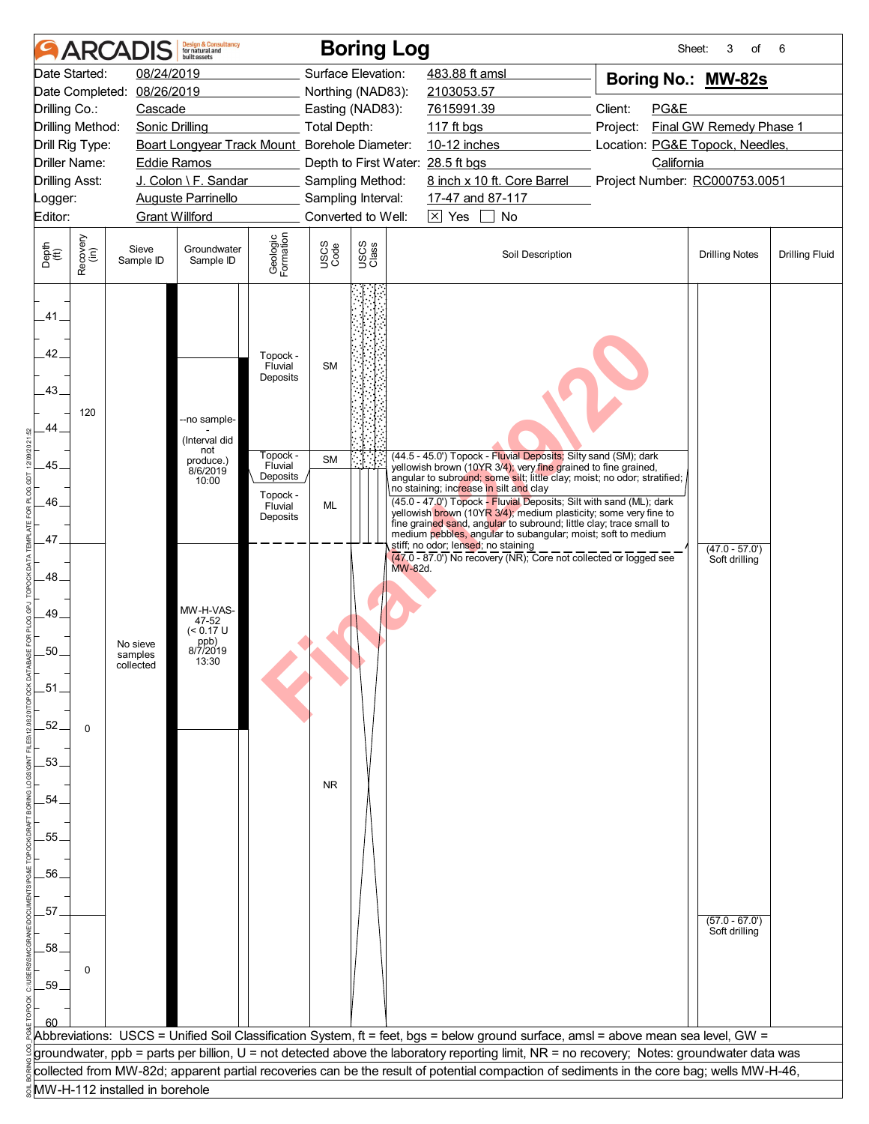|                       | <b>ARCAI</b>     |                                | <b>Design &amp; Consultancy</b><br>for natural and<br>huilt assets |                                 |                     | <b>Boring Log</b>                 |                                     |                                                                                                                                            | Sheet:                                                                                                                                     | 3<br>of                 | 6                     |
|-----------------------|------------------|--------------------------------|--------------------------------------------------------------------|---------------------------------|---------------------|-----------------------------------|-------------------------------------|--------------------------------------------------------------------------------------------------------------------------------------------|--------------------------------------------------------------------------------------------------------------------------------------------|-------------------------|-----------------------|
|                       | Date Started:    | 08/24/2019                     |                                                                    |                                 |                     | Surface Elevation:                | 483.88 ft amsl                      |                                                                                                                                            | Boring No.: MW-82s                                                                                                                         |                         |                       |
| Date Completed:       |                  | 08/26/2019                     |                                                                    |                                 |                     | Northing (NAD83):                 | 2103053.57                          |                                                                                                                                            |                                                                                                                                            |                         |                       |
| Drilling Co.:         |                  | Cascade                        |                                                                    |                                 |                     | Easting (NAD83):                  | 7615991.39                          |                                                                                                                                            | Client:<br>PG&E                                                                                                                            |                         |                       |
| Drilling Method:      |                  | <b>Sonic Drilling</b>          |                                                                    |                                 | <b>Total Depth:</b> |                                   | 117 ft bgs                          |                                                                                                                                            | Project:                                                                                                                                   | Final GW Remedy Phase 1 |                       |
| Drill Rig Type:       |                  |                                | Boart Longyear Track Mount_ Borehole Diameter:                     |                                 |                     |                                   | 10-12 inches                        |                                                                                                                                            | Location: PG&E Topock, Needles,                                                                                                            |                         |                       |
| <b>Driller Name:</b>  |                  | <b>Eddie Ramos</b>             |                                                                    |                                 |                     | Depth to First Water: 28.5 ft bgs |                                     |                                                                                                                                            | California                                                                                                                                 |                         |                       |
| <b>Drilling Asst:</b> |                  |                                | J. Colon \ F. Sandar                                               |                                 |                     | Sampling Method:                  |                                     | 8 inch x 10 ft. Core Barrel                                                                                                                | Project Number: RC000753.0051                                                                                                              |                         |                       |
| Logger:               |                  |                                | <b>Auguste Parrinello</b>                                          |                                 |                     | Sampling Interval:                | 17-47 and 87-117                    |                                                                                                                                            |                                                                                                                                            |                         |                       |
| Editor:               |                  | <b>Grant Willford</b>          |                                                                    |                                 |                     | Converted to Well:                | $\boxtimes$ Yes                     | No                                                                                                                                         |                                                                                                                                            |                         |                       |
| Depth<br>(ft)         | Recovery<br>(in) | Sieve<br>Sample ID             | Groundwater<br>Sample ID                                           | Geologic<br>Formation           | USCS<br>Code        | USCS<br>Class                     |                                     | Soil Description                                                                                                                           |                                                                                                                                            | <b>Drilling Notes</b>   | <b>Drilling Fluid</b> |
| .41.<br>42.<br>43.    | 120              |                                | --no sample-                                                       | Topock -<br>Fluvial<br>Deposits | <b>SM</b>           |                                   |                                     |                                                                                                                                            |                                                                                                                                            |                         |                       |
| 44                    |                  |                                | (Interval did                                                      |                                 |                     |                                   |                                     |                                                                                                                                            |                                                                                                                                            |                         |                       |
|                       |                  |                                | not<br>produce.)                                                   | Fopock -                        | <b>SM</b>           |                                   |                                     | (44.5 - 45.0') Topock - Fluvial Deposits; Silty sand (SM); dark                                                                            |                                                                                                                                            |                         |                       |
| .45.                  |                  |                                | 8/6/2019<br>10:00                                                  | Fluvial<br>Deposits             |                     |                                   |                                     | yellowish brown (10YR 3/4); very fine grained to fine grained,<br>angular to subround; some silt; little clay; moist; no odor; stratified; |                                                                                                                                            |                         |                       |
|                       |                  |                                |                                                                    | Topock -                        |                     |                                   |                                     | no staining; increase in silt and clay<br>(45.0 - 47.0') Topock - Fluvial Deposits; Silt with sand (ML); dark                              |                                                                                                                                            |                         |                       |
| 46.                   |                  |                                |                                                                    | Fluvial<br>Deposits             | ML                  |                                   |                                     | yellowish brown (10YR 3/4); medium plasticity; some very fine to                                                                           |                                                                                                                                            |                         |                       |
| 47.                   |                  |                                |                                                                    |                                 |                     |                                   |                                     | fine grained sand, angular to subround; little clay; trace small to<br>medium pebbles, angular to subangular; moist; soft to medium        |                                                                                                                                            |                         |                       |
|                       |                  |                                |                                                                    |                                 |                     |                                   | stiff; no odor; lensed; no staining | (47.0 - 87.0') No recovery (NR); Core not collected or logged see                                                                          |                                                                                                                                            | $(47.0 - 57.0')$        |                       |
| 48                    |                  |                                |                                                                    |                                 |                     | MW-82d.                           |                                     |                                                                                                                                            |                                                                                                                                            | Soft drilling           |                       |
|                       |                  |                                |                                                                    |                                 |                     |                                   |                                     |                                                                                                                                            |                                                                                                                                            |                         |                       |
| 49.                   |                  |                                | MW-H-VAS-                                                          |                                 |                     |                                   |                                     |                                                                                                                                            |                                                                                                                                            |                         |                       |
|                       |                  |                                | 47-52<br>$(< 0.17$ U                                               |                                 |                     |                                   |                                     |                                                                                                                                            |                                                                                                                                            |                         |                       |
| 50.                   |                  | No sieve<br>samples            | ppb)<br>8/7/2019                                                   |                                 |                     |                                   |                                     |                                                                                                                                            |                                                                                                                                            |                         |                       |
|                       |                  | collected                      | 13:30                                                              |                                 |                     |                                   |                                     |                                                                                                                                            |                                                                                                                                            |                         |                       |
| $-51$                 |                  |                                |                                                                    |                                 |                     |                                   |                                     |                                                                                                                                            |                                                                                                                                            |                         |                       |
|                       |                  |                                |                                                                    |                                 |                     |                                   |                                     |                                                                                                                                            |                                                                                                                                            |                         |                       |
| $-52.$                | $\Omega$         |                                |                                                                    |                                 |                     |                                   |                                     |                                                                                                                                            |                                                                                                                                            |                         |                       |
|                       |                  |                                |                                                                    |                                 |                     |                                   |                                     |                                                                                                                                            |                                                                                                                                            |                         |                       |
| .53.                  |                  |                                |                                                                    |                                 |                     |                                   |                                     |                                                                                                                                            |                                                                                                                                            |                         |                       |
|                       |                  |                                |                                                                    |                                 | <b>NR</b>           |                                   |                                     |                                                                                                                                            |                                                                                                                                            |                         |                       |
| .54                   |                  |                                |                                                                    |                                 |                     |                                   |                                     |                                                                                                                                            |                                                                                                                                            |                         |                       |
|                       |                  |                                |                                                                    |                                 |                     |                                   |                                     |                                                                                                                                            |                                                                                                                                            |                         |                       |
| 55.                   |                  |                                |                                                                    |                                 |                     |                                   |                                     |                                                                                                                                            |                                                                                                                                            |                         |                       |
|                       |                  |                                |                                                                    |                                 |                     |                                   |                                     |                                                                                                                                            |                                                                                                                                            |                         |                       |
| .56.                  |                  |                                |                                                                    |                                 |                     |                                   |                                     |                                                                                                                                            |                                                                                                                                            |                         |                       |
|                       |                  |                                |                                                                    |                                 |                     |                                   |                                     |                                                                                                                                            |                                                                                                                                            |                         |                       |
| .57.                  |                  |                                |                                                                    |                                 |                     |                                   |                                     |                                                                                                                                            |                                                                                                                                            | $(57.0 - 67.0')$        |                       |
| .58                   |                  |                                |                                                                    |                                 |                     |                                   |                                     |                                                                                                                                            |                                                                                                                                            | Soft drilling           |                       |
|                       |                  |                                |                                                                    |                                 |                     |                                   |                                     |                                                                                                                                            |                                                                                                                                            |                         |                       |
| .59                   | 0                |                                |                                                                    |                                 |                     |                                   |                                     |                                                                                                                                            |                                                                                                                                            |                         |                       |
|                       |                  |                                |                                                                    |                                 |                     |                                   |                                     |                                                                                                                                            |                                                                                                                                            |                         |                       |
|                       |                  |                                |                                                                    |                                 |                     |                                   |                                     |                                                                                                                                            |                                                                                                                                            |                         |                       |
|                       |                  |                                |                                                                    |                                 |                     |                                   |                                     |                                                                                                                                            | Abbreviations: USCS = Unified Soil Classification System, ft = feet, bgs = below ground surface, amsl = above mean sea level, GW =         |                         |                       |
|                       |                  |                                |                                                                    |                                 |                     |                                   |                                     |                                                                                                                                            | groundwater, ppb = parts per billion, U = not detected above the laboratory reporting limit, NR = no recovery; Notes: groundwater data was |                         |                       |
|                       |                  |                                |                                                                    |                                 |                     |                                   |                                     |                                                                                                                                            | collected from MW-82d; apparent partial recoveries can be the result of potential compaction of sediments in the core bag; wells MW-H-46,  |                         |                       |
|                       |                  | MW-H-112 installed in borehole |                                                                    |                                 |                     |                                   |                                     |                                                                                                                                            |                                                                                                                                            |                         |                       |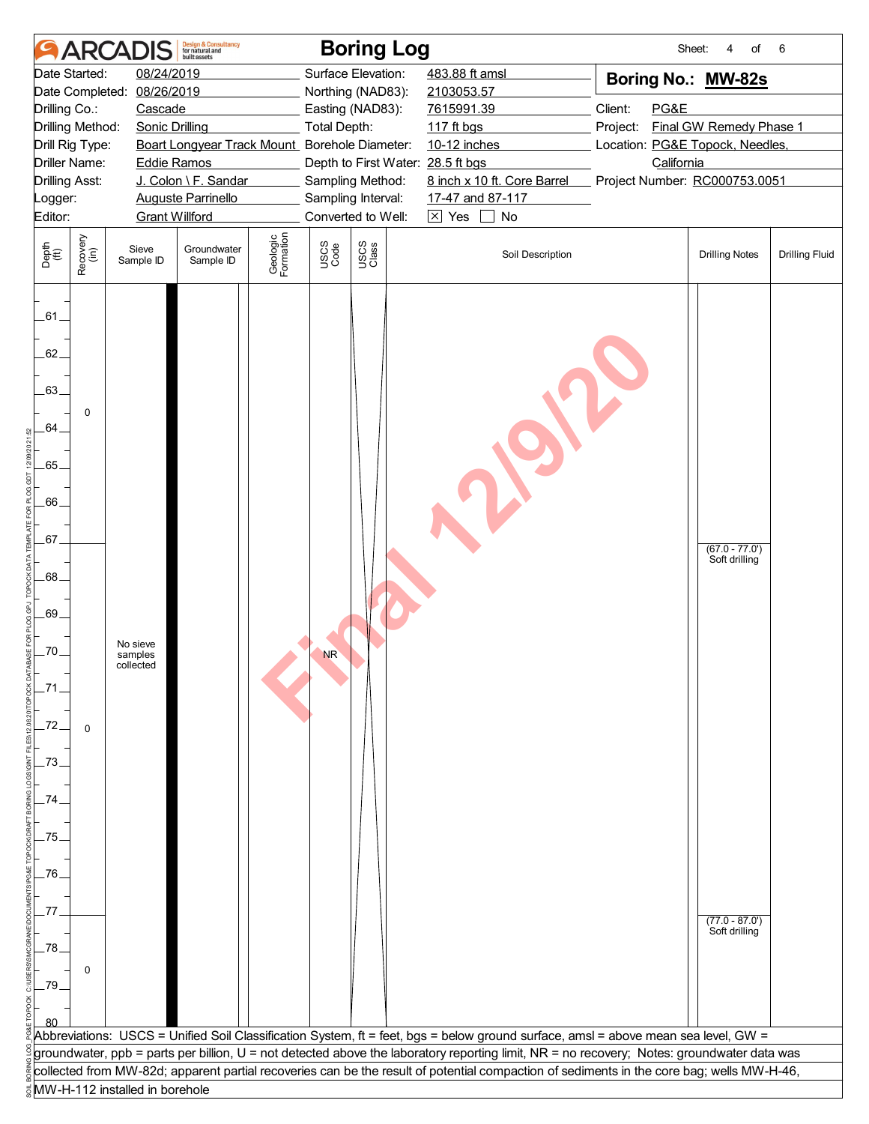|               | <b>ARCAI</b>          |                                  | Design & Consultancy<br>for natural and<br>huilt assets |                       |                     | <b>Boring Log</b>                 |                        |                             | Sheet:                                                                                                                                     | of<br>4                          | 6                     |
|---------------|-----------------------|----------------------------------|---------------------------------------------------------|-----------------------|---------------------|-----------------------------------|------------------------|-----------------------------|--------------------------------------------------------------------------------------------------------------------------------------------|----------------------------------|-----------------------|
|               | Date Started:         | 08/24/2019                       |                                                         |                       |                     | Surface Elevation:                | 483.88 ft amsl         |                             | Boring No.: MW-82s                                                                                                                         |                                  |                       |
|               | Date Completed:       | 08/26/2019                       |                                                         |                       |                     | Northing (NAD83):                 | 2103053.57             |                             |                                                                                                                                            |                                  |                       |
| Drilling Co.: |                       | Cascade                          |                                                         |                       |                     | Easting (NAD83):                  | 7615991.39             |                             | Client:<br>PG&E                                                                                                                            |                                  |                       |
|               | Drilling Method:      | <b>Sonic Drilling</b>            |                                                         |                       | <b>Total Depth:</b> |                                   | 117 ft bgs             |                             | Project:                                                                                                                                   | Final GW Remedy Phase 1          |                       |
|               | Drill Rig Type:       |                                  | Boart Longyear Track Mount Borehole Diameter:           |                       |                     |                                   | 10-12 inches           |                             | Location: PG&E Topock, Needles,                                                                                                            |                                  |                       |
|               | <b>Driller Name:</b>  | <b>Eddie Ramos</b>               |                                                         |                       |                     | Depth to First Water: 28.5 ft bgs |                        |                             | California                                                                                                                                 |                                  |                       |
|               | <b>Drilling Asst:</b> |                                  | J. Colon \ F. Sandar                                    |                       |                     | Sampling Method:                  |                        | 8 inch x 10 ft. Core Barrel | Project Number: RC000753.0051                                                                                                              |                                  |                       |
| Logger:       |                       |                                  | <b>Auguste Parrinello</b>                               |                       |                     | Sampling Interval:                | 17-47 and 87-117       |                             |                                                                                                                                            |                                  |                       |
| Editor:       |                       | <b>Grant Willford</b>            |                                                         |                       |                     | Converted to Well:                | $\boxtimes$ Yes $\Box$ | No                          |                                                                                                                                            |                                  |                       |
| Depth<br>(ft) | Recovery<br>(in)      | Sieve<br>Sample ID               | Groundwater<br>Sample ID                                | Geologic<br>Formation | USCS<br>Code        | USCS<br>Class                     |                        | Soil Description            |                                                                                                                                            | <b>Drilling Notes</b>            | <b>Drilling Fluid</b> |
| $-61$<br>62.  |                       |                                  |                                                         |                       |                     |                                   |                        |                             |                                                                                                                                            |                                  |                       |
| .63.          |                       |                                  |                                                         |                       |                     |                                   |                        |                             |                                                                                                                                            |                                  |                       |
| 64.           | 0                     |                                  |                                                         |                       |                     |                                   |                        |                             |                                                                                                                                            |                                  |                       |
| $-65.$        |                       |                                  |                                                         |                       |                     |                                   |                        |                             |                                                                                                                                            |                                  |                       |
| .66.          |                       |                                  |                                                         |                       |                     |                                   |                        |                             |                                                                                                                                            |                                  |                       |
| 67.           |                       |                                  |                                                         |                       |                     |                                   |                        |                             |                                                                                                                                            | $(67.0 - 77.0')$                 |                       |
| .68.          |                       |                                  |                                                         |                       |                     |                                   |                        |                             |                                                                                                                                            | Soft drilling                    |                       |
| .69.          |                       |                                  |                                                         |                       |                     |                                   |                        |                             |                                                                                                                                            |                                  |                       |
| -70.          |                       | No sieve<br>samples<br>collected |                                                         |                       | <b>NR</b>           |                                   |                        |                             |                                                                                                                                            |                                  |                       |
| -71           |                       |                                  |                                                         |                       |                     |                                   |                        |                             |                                                                                                                                            |                                  |                       |
| -72.          | $\mathbf 0$           |                                  |                                                         |                       |                     |                                   |                        |                             |                                                                                                                                            |                                  |                       |
| .73.          |                       |                                  |                                                         |                       |                     |                                   |                        |                             |                                                                                                                                            |                                  |                       |
| .74.          |                       |                                  |                                                         |                       |                     |                                   |                        |                             |                                                                                                                                            |                                  |                       |
| .75.          |                       |                                  |                                                         |                       |                     |                                   |                        |                             |                                                                                                                                            |                                  |                       |
| .76.          |                       |                                  |                                                         |                       |                     |                                   |                        |                             |                                                                                                                                            |                                  |                       |
| 77            |                       |                                  |                                                         |                       |                     |                                   |                        |                             |                                                                                                                                            | $(77.0 - 87.0)$<br>Soft drilling |                       |
| .78.          | 0                     |                                  |                                                         |                       |                     |                                   |                        |                             |                                                                                                                                            |                                  |                       |
| _79           |                       |                                  |                                                         |                       |                     |                                   |                        |                             |                                                                                                                                            |                                  |                       |
|               |                       |                                  |                                                         |                       |                     |                                   |                        |                             | Abbreviations: USCS = Unified Soil Classification System, ft = feet, bgs = below ground surface, amsl = above mean sea level, GW =         |                                  |                       |
|               |                       |                                  |                                                         |                       |                     |                                   |                        |                             | groundwater, ppb = parts per billion, U = not detected above the laboratory reporting limit, NR = no recovery; Notes: groundwater data was |                                  |                       |
|               |                       |                                  |                                                         |                       |                     |                                   |                        |                             | collected from MW-82d; apparent partial recoveries can be the result of potential compaction of sediments in the core bag; wells MW-H-46,  |                                  |                       |
|               |                       | MW-H-112 installed in borehole   |                                                         |                       |                     |                                   |                        |                             |                                                                                                                                            |                                  |                       |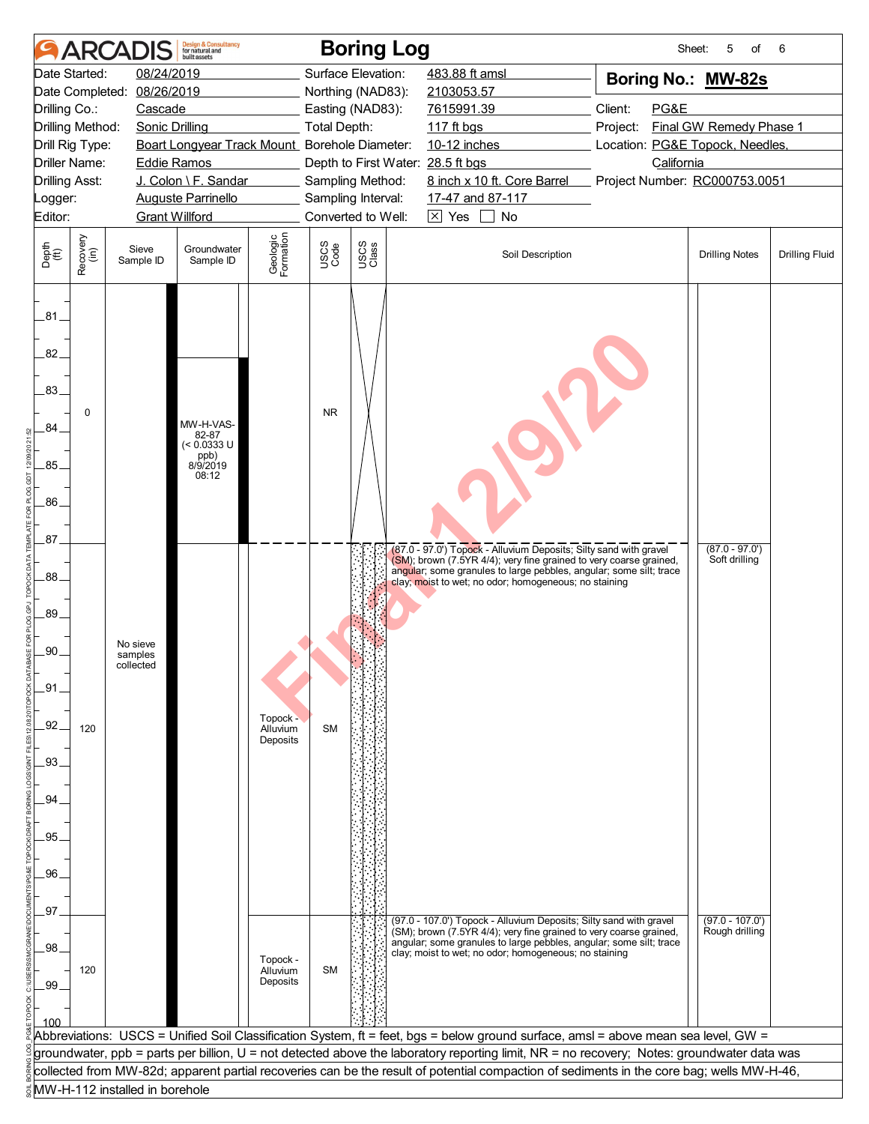|                                           | <b>ARCA</b>      |                                | <b>Design &amp; Consultancy</b><br>for natural and<br>huilt assets |                                  |                     | <b>Boring Log</b>                                     |                                                                                                                                                                                                                                                                         | Sheet:                                        | 5<br>of                             | 6                     |
|-------------------------------------------|------------------|--------------------------------|--------------------------------------------------------------------|----------------------------------|---------------------|-------------------------------------------------------|-------------------------------------------------------------------------------------------------------------------------------------------------------------------------------------------------------------------------------------------------------------------------|-----------------------------------------------|-------------------------------------|-----------------------|
| Date Started:                             |                  | 08/24/2019                     |                                                                    |                                  |                     | Surface Elevation:                                    | 483.88 ft amsl                                                                                                                                                                                                                                                          | Boring No.: MW-82s                            |                                     |                       |
| Date Completed:                           |                  | 08/26/2019                     |                                                                    |                                  |                     | Northing (NAD83):                                     | 2103053.57                                                                                                                                                                                                                                                              |                                               |                                     |                       |
| Drilling Co.:                             |                  | Cascade                        |                                                                    |                                  |                     | Easting (NAD83):                                      | 7615991.39                                                                                                                                                                                                                                                              | Client:<br>PG&E                               |                                     |                       |
| Drilling Method:                          |                  | <b>Sonic Drilling</b>          |                                                                    |                                  | <b>Total Depth:</b> |                                                       | 117 ft bgs                                                                                                                                                                                                                                                              | Project:                                      | Final GW Remedy Phase 1             |                       |
| Drill Rig Type:<br><b>Driller Name:</b>   |                  |                                | Boart Longyear Track Mount_Borehole Diameter:                      |                                  |                     |                                                       | 10-12 inches                                                                                                                                                                                                                                                            | Location: PG&E Topock, Needles,<br>California |                                     |                       |
| <b>Drilling Asst:</b>                     |                  | <b>Eddie Ramos</b>             | J. Colon \ F. Sandar                                               |                                  |                     | Depth to First Water: 28.5 ft bgs<br>Sampling Method: | 8 inch x 10 ft. Core Barrel                                                                                                                                                                                                                                             | Project Number: RC000753.0051                 |                                     |                       |
| Logger:                                   |                  |                                | <b>Auguste Parrinello</b>                                          |                                  |                     | Sampling Interval:                                    | 17-47 and 87-117                                                                                                                                                                                                                                                        |                                               |                                     |                       |
| Editor:                                   |                  | <b>Grant Willford</b>          |                                                                    |                                  |                     | Converted to Well:                                    | $\boxtimes$ Yes $\Box$<br>No                                                                                                                                                                                                                                            |                                               |                                     |                       |
|                                           |                  |                                |                                                                    |                                  |                     |                                                       |                                                                                                                                                                                                                                                                         |                                               |                                     |                       |
| Depth<br>(ft)                             | Recovery<br>(in) | Sieve<br>Sample ID             | Groundwater<br>Sample ID                                           | Geologic<br>Formation            | USCS<br>Code        | USCS<br>Class                                         | Soil Description                                                                                                                                                                                                                                                        |                                               | <b>Drilling Notes</b>               | <b>Drilling Fluid</b> |
| .81<br>82.<br>.83.<br>.84<br>.85.<br>.86. | 0                |                                | MW-H-VAS-<br>82-87<br>$(< 0.0333$ U<br>ppb)<br>8/9/2019<br>08:12   |                                  | <b>NR</b>           |                                                       |                                                                                                                                                                                                                                                                         |                                               |                                     |                       |
| .87.<br>.88.                              |                  |                                |                                                                    |                                  |                     |                                                       | (87.0 - 97.0') Topock - Alluvium Deposits; Silty sand with gravel<br>(SM); brown (7.5YR 4/4); very fine grained to very coarse grained,<br>angular; some granules to large pebbles, angular; some silt; trace<br>clay; moist to wet; no odor; homogeneous; no staining  |                                               | $(87.0 - 97.0')$<br>Soft drilling   |                       |
| 89.<br>.90.                               |                  | No sieve                       |                                                                    |                                  |                     |                                                       |                                                                                                                                                                                                                                                                         |                                               |                                     |                       |
|                                           |                  | samples<br>collected           |                                                                    |                                  |                     |                                                       |                                                                                                                                                                                                                                                                         |                                               |                                     |                       |
| _91.                                      |                  |                                |                                                                    |                                  |                     |                                                       |                                                                                                                                                                                                                                                                         |                                               |                                     |                       |
|                                           |                  |                                |                                                                    |                                  |                     |                                                       |                                                                                                                                                                                                                                                                         |                                               |                                     |                       |
| 92.                                       | 120              |                                |                                                                    | Topock -<br>Alluvium<br>Deposits | <b>SM</b>           |                                                       |                                                                                                                                                                                                                                                                         |                                               |                                     |                       |
| .93.                                      |                  |                                |                                                                    |                                  |                     |                                                       |                                                                                                                                                                                                                                                                         |                                               |                                     |                       |
| .94                                       |                  |                                |                                                                    |                                  |                     |                                                       |                                                                                                                                                                                                                                                                         |                                               |                                     |                       |
|                                           |                  |                                |                                                                    |                                  |                     |                                                       |                                                                                                                                                                                                                                                                         |                                               |                                     |                       |
| 95.                                       |                  |                                |                                                                    |                                  |                     |                                                       |                                                                                                                                                                                                                                                                         |                                               |                                     |                       |
|                                           |                  |                                |                                                                    |                                  |                     |                                                       |                                                                                                                                                                                                                                                                         |                                               |                                     |                       |
| .96.                                      |                  |                                |                                                                    |                                  |                     |                                                       |                                                                                                                                                                                                                                                                         |                                               |                                     |                       |
| 97                                        |                  |                                |                                                                    |                                  |                     |                                                       |                                                                                                                                                                                                                                                                         |                                               |                                     |                       |
| .98                                       |                  |                                |                                                                    | Topock -                         |                     |                                                       | (97.0 - 107.0') Topock - Alluvium Deposits; Silty sand with gravel<br>(SM); brown (7.5YR 4/4); very fine grained to very coarse grained,<br>angular; some granules to large pebbles, angular; some silt; trace<br>clay; moist to wet; no odor; homogeneous; no staining |                                               | $(97.0 - 107.0')$<br>Rough drilling |                       |
| .99 <sub>1</sub>                          | 120              |                                |                                                                    | Alluvium<br>Deposits             | <b>SM</b>           |                                                       |                                                                                                                                                                                                                                                                         |                                               |                                     |                       |
| 100                                       |                  |                                |                                                                    |                                  |                     |                                                       | Abbreviations: USCS = Unified Soil Classification System, ft = feet, bgs = below ground surface, amsl = above mean sea level, GW =                                                                                                                                      |                                               |                                     |                       |
|                                           |                  |                                |                                                                    |                                  |                     |                                                       | groundwater, ppb = parts per billion, U = not detected above the laboratory reporting limit, NR = no recovery; Notes: groundwater data was                                                                                                                              |                                               |                                     |                       |
|                                           |                  |                                |                                                                    |                                  |                     |                                                       | collected from MW-82d; apparent partial recoveries can be the result of potential compaction of sediments in the core bag; wells MW-H-46,                                                                                                                               |                                               |                                     |                       |
|                                           |                  | MW-H-112 installed in borehole |                                                                    |                                  |                     |                                                       |                                                                                                                                                                                                                                                                         |                                               |                                     |                       |